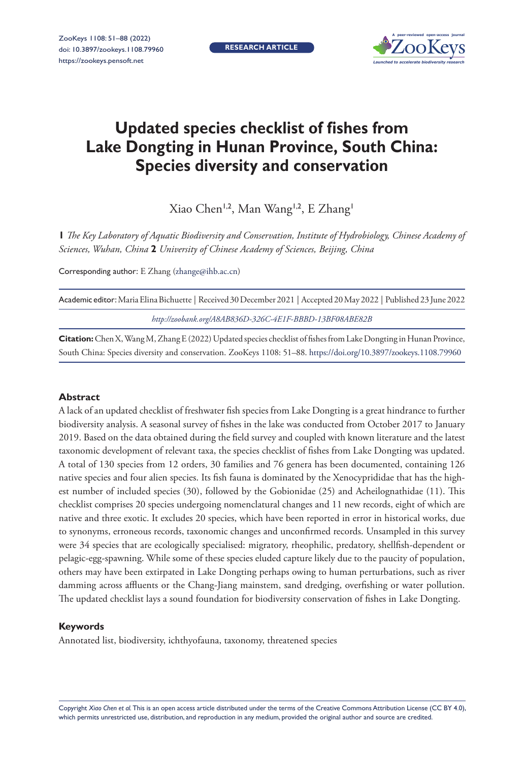**RESEARCH ARTICLE**



# **Updated species checklist of fishes from Lake Dongting in Hunan Province, South China: Species diversity and conservation**

Xiao Chen<sup>1,2</sup>, Man Wang<sup>1,2</sup>, E Zhang<sup>1</sup>

**1** *The Key Laboratory of Aquatic Biodiversity and Conservation, Institute of Hydrobiology, Chinese Academy of Sciences, Wuhan, China* **2** *University of Chinese Academy of Sciences, Beijing, China*

Corresponding author: E Zhang ([zhange@ihb.ac.cn](mailto:zhange@ihb.ac.cn))

| Academic editor: Maria Elina Bichuette   Received 30 December 2021   Accepted 20 May 2022   Published 23 June 2022 |
|--------------------------------------------------------------------------------------------------------------------|
| http://zoobank.org/A8AB836D-326C-4E1F-BBBD-13BF08ABE82B                                                            |

**Citation:** Chen X, Wang M, Zhang E (2022) Updated species checklist of fishes from Lake Dongting in Hunan Province, South China: Species diversity and conservation. ZooKeys 1108: 51–88.<https://doi.org/10.3897/zookeys.1108.79960>

#### **Abstract**

A lack of an updated checklist of freshwater fish species from Lake Dongting is a great hindrance to further biodiversity analysis. A seasonal survey of fishes in the lake was conducted from October 2017 to January 2019. Based on the data obtained during the field survey and coupled with known literature and the latest taxonomic development of relevant taxa, the species checklist of fishes from Lake Dongting was updated. A total of 130 species from 12 orders, 30 families and 76 genera has been documented, containing 126 native species and four alien species. Its fish fauna is dominated by the Xenocyprididae that has the highest number of included species (30), followed by the Gobionidae (25) and Acheilognathidae (11). This checklist comprises 20 species undergoing nomenclatural changes and 11 new records, eight of which are native and three exotic. It excludes 20 species, which have been reported in error in historical works, due to synonyms, erroneous records, taxonomic changes and unconfirmed records. Unsampled in this survey were 34 species that are ecologically specialised: migratory, rheophilic, predatory, shellfish-dependent or pelagic-egg-spawning. While some of these species eluded capture likely due to the paucity of population, others may have been extirpated in Lake Dongting perhaps owing to human perturbations, such as river damming across affluents or the Chang-Jiang mainstem, sand dredging, overfishing or water pollution. The updated checklist lays a sound foundation for biodiversity conservation of fishes in Lake Dongting.

#### **Keywords**

Annotated list, biodiversity, ichthyofauna, taxonomy, threatened species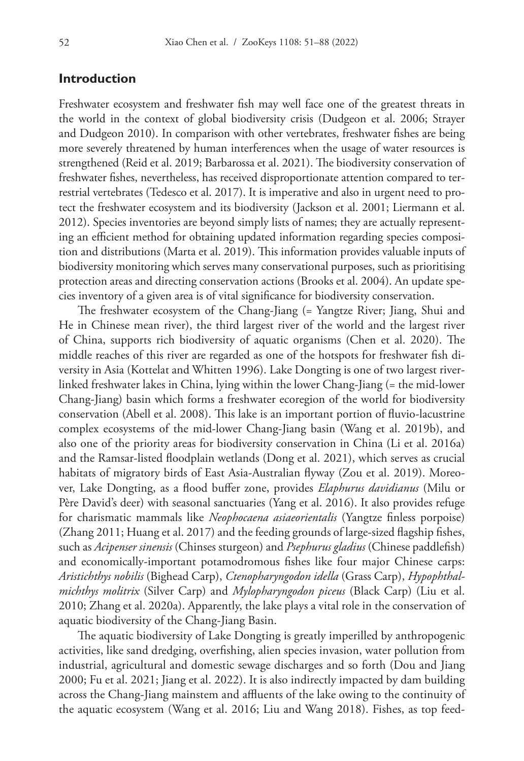# **Introduction**

Freshwater ecosystem and freshwater fish may well face one of the greatest threats in the world in the context of global biodiversity crisis (Dudgeon et al. 2006; Strayer and Dudgeon 2010). In comparison with other vertebrates, freshwater fishes are being more severely threatened by human interferences when the usage of water resources is strengthened (Reid et al. 2019; Barbarossa et al. 2021). The biodiversity conservation of freshwater fishes, nevertheless, has received disproportionate attention compared to terrestrial vertebrates (Tedesco et al. 2017). It is imperative and also in urgent need to protect the freshwater ecosystem and its biodiversity (Jackson et al. 2001; Liermann et al. 2012). Species inventories are beyond simply lists of names; they are actually representing an efficient method for obtaining updated information regarding species composition and distributions (Marta et al. 2019). This information provides valuable inputs of biodiversity monitoring which serves many conservational purposes, such as prioritising protection areas and directing conservation actions (Brooks et al. 2004). An update species inventory of a given area is of vital significance for biodiversity conservation.

The freshwater ecosystem of the Chang-Jiang (= Yangtze River; Jiang, Shui and He in Chinese mean river), the third largest river of the world and the largest river of China, supports rich biodiversity of aquatic organisms (Chen et al. 2020). The middle reaches of this river are regarded as one of the hotspots for freshwater fish diversity in Asia (Kottelat and Whitten 1996). Lake Dongting is one of two largest riverlinked freshwater lakes in China, lying within the lower Chang-Jiang (= the mid-lower Chang-Jiang) basin which forms a freshwater ecoregion of the world for biodiversity conservation (Abell et al. 2008). This lake is an important portion of fluvio-lacustrine complex ecosystems of the mid-lower Chang-Jiang basin (Wang et al. 2019b), and also one of the priority areas for biodiversity conservation in China (Li et al. 2016a) and the Ramsar-listed floodplain wetlands (Dong et al. 2021), which serves as crucial habitats of migratory birds of East Asia-Australian flyway (Zou et al. 2019). Moreover, Lake Dongting, as a flood buffer zone, provides *Elaphurus davidianus* (Milu or Père David's deer) with seasonal sanctuaries (Yang et al. 2016). It also provides refuge for charismatic mammals like *Neophocaena asiaeorientalis* (Yangtze finless porpoise) (Zhang 2011; Huang et al. 2017) and the feeding grounds of large-sized flagship fishes, such as *Acipenser sinensis* (Chinses sturgeon) and *Psephurus gladius* (Chinese paddlefish) and economically-important potamodromous fishes like four major Chinese carps: *Aristichthys nobilis* (Bighead Carp), *Ctenopharyngodon idella* (Grass Carp), *Hypophthalmichthys molitrix* (Silver Carp) and *Mylopharyngodon piceus* (Black Carp) (Liu et al. 2010; Zhang et al. 2020a). Apparently, the lake plays a vital role in the conservation of aquatic biodiversity of the Chang-Jiang Basin.

The aquatic biodiversity of Lake Dongting is greatly imperilled by anthropogenic activities, like sand dredging, overfishing, alien species invasion, water pollution from industrial, agricultural and domestic sewage discharges and so forth (Dou and Jiang 2000; Fu et al. 2021; Jiang et al. 2022). It is also indirectly impacted by dam building across the Chang-Jiang mainstem and affluents of the lake owing to the continuity of the aquatic ecosystem (Wang et al. 2016; Liu and Wang 2018). Fishes, as top feed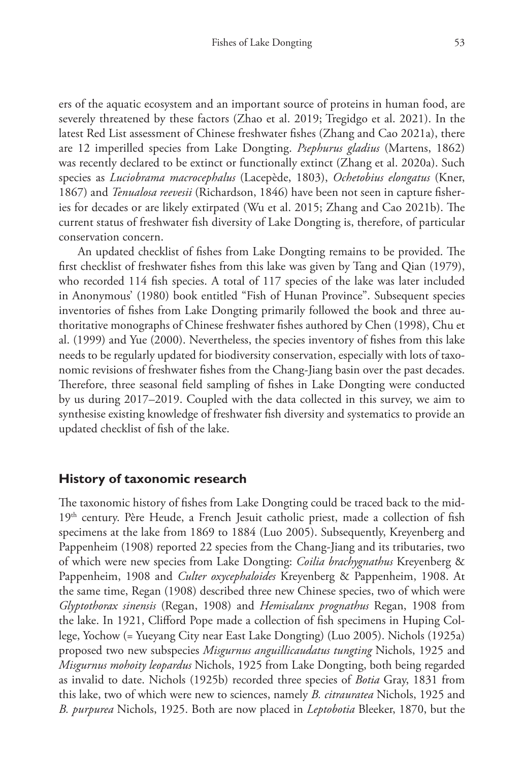ers of the aquatic ecosystem and an important source of proteins in human food, are severely threatened by these factors (Zhao et al. 2019; Tregidgo et al. 2021). In the latest Red List assessment of Chinese freshwater fishes (Zhang and Cao 2021a), there are 12 imperilled species from Lake Dongting. *Psephurus gladius* (Martens, 1862) was recently declared to be extinct or functionally extinct (Zhang et al. 2020a). Such species as *Luciobrama macrocephalus* (Lacepède, 1803), *Ochetobius elongatus* (Kner, 1867) and *Tenualosa reevesii* (Richardson, 1846) have been not seen in capture fisheries for decades or are likely extirpated (Wu et al. 2015; Zhang and Cao 2021b). The current status of freshwater fish diversity of Lake Dongting is, therefore, of particular conservation concern.

An updated checklist of fishes from Lake Dongting remains to be provided. The first checklist of freshwater fishes from this lake was given by Tang and Qian (1979), who recorded 114 fish species. A total of 117 species of the lake was later included in Anonymous' (1980) book entitled "Fish of Hunan Province". Subsequent species inventories of fishes from Lake Dongting primarily followed the book and three authoritative monographs of Chinese freshwater fishes authored by Chen (1998), Chu et al. (1999) and Yue (2000). Nevertheless, the species inventory of fishes from this lake needs to be regularly updated for biodiversity conservation, especially with lots of taxonomic revisions of freshwater fishes from the Chang-Jiang basin over the past decades. Therefore, three seasonal field sampling of fishes in Lake Dongting were conducted by us during 2017–2019. Coupled with the data collected in this survey, we aim to synthesise existing knowledge of freshwater fish diversity and systematics to provide an updated checklist of fish of the lake.

# **History of taxonomic research**

The taxonomic history of fishes from Lake Dongting could be traced back to the mid-19<sup>th</sup> century. Père Heude, a French Jesuit catholic priest, made a collection of fish specimens at the lake from 1869 to 1884 (Luo 2005). Subsequently, Kreyenberg and Pappenheim (1908) reported 22 species from the Chang-Jiang and its tributaries, two of which were new species from Lake Dongting: *Coilia brachygnathus* Kreyenberg & Pappenheim, 1908 and *Culter oxycephaloides* Kreyenberg & Pappenheim, 1908. At the same time, Regan (1908) described three new Chinese species, two of which were *Glyptothorax sinensis* (Regan, 1908) and *Hemisalanx prognathus* Regan, 1908 from the lake. In 1921, Clifford Pope made a collection of fish specimens in Huping College, Yochow (= Yueyang City near East Lake Dongting) (Luo 2005). Nichols (1925a) proposed two new subspecies *Misgurnus anguillicaudatus tungting* Nichols, 1925 and *Misgurnus mohoity leopardus* Nichols, 1925 from Lake Dongting, both being regarded as invalid to date. Nichols (1925b) recorded three species of *Botia* Gray, 1831 from this lake, two of which were new to sciences, namely *B. citrauratea* Nichols, 1925 and *B. purpurea* Nichols, 1925. Both are now placed in *Leptobotia* Bleeker, 1870, but the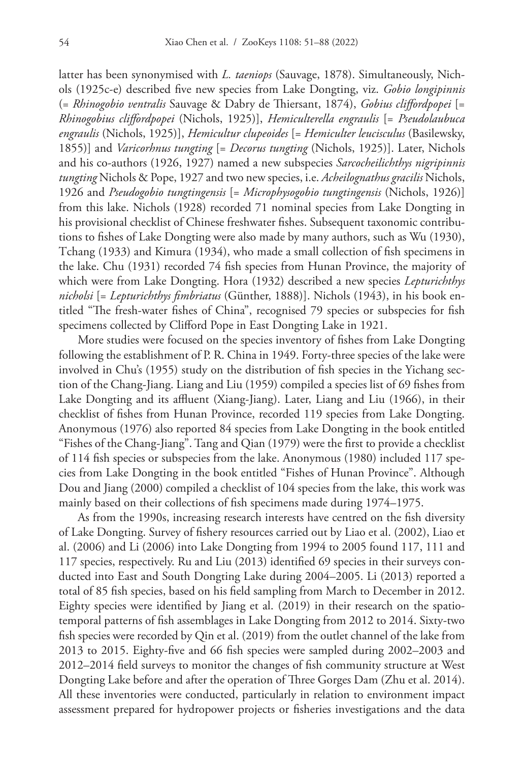latter has been synonymised with *L. taeniops* (Sauvage, 1878). Simultaneously, Nichols (1925c-e) described five new species from Lake Dongting, viz. *Gobio longipinnis* (= *Rhinogobio ventralis* Sauvage & Dabry de Thiersant, 1874), *Gobius cliffordpopei* [= *Rhinogobius cliffordpopei* (Nichols, 1925)], *Hemiculterella engraulis* [= *Pseudolaubuca engraulis* (Nichols, 1925)], *Hemicultur clupeoides* [= *Hemiculter leucisculus* (Basilewsky, 1855)] and *Varicorhnus tungting* [= *Decorus tungting* (Nichols, 1925)]. Later, Nichols and his co-authors (1926, 1927) named a new subspecies *Sarcocheilichthys nigripinnis tungting* Nichols & Pope, 1927 and two new species, i.e. *Acheilognathus gracilis* Nichols, 1926 and *Pseudogobio tungtingensis* [= *Microphysogobio tungtingensis* (Nichols, 1926)] from this lake. Nichols (1928) recorded 71 nominal species from Lake Dongting in his provisional checklist of Chinese freshwater fishes. Subsequent taxonomic contributions to fishes of Lake Dongting were also made by many authors, such as Wu (1930), Tchang (1933) and Kimura (1934), who made a small collection of fish specimens in the lake. Chu (1931) recorded 74 fish species from Hunan Province, the majority of which were from Lake Dongting. Hora (1932) described a new species *Lepturichthys nicholsi* [= *Lepturichthys fimbriatus* (Günther, 1888)]. Nichols (1943), in his book entitled "The fresh-water fishes of China", recognised 79 species or subspecies for fish specimens collected by Clifford Pope in East Dongting Lake in 1921.

More studies were focused on the species inventory of fishes from Lake Dongting following the establishment of P. R. China in 1949. Forty-three species of the lake were involved in Chu's (1955) study on the distribution of fish species in the Yichang section of the Chang-Jiang. Liang and Liu (1959) compiled a species list of 69 fishes from Lake Dongting and its affluent (Xiang-Jiang). Later, Liang and Liu (1966), in their checklist of fishes from Hunan Province, recorded 119 species from Lake Dongting. Anonymous (1976) also reported 84 species from Lake Dongting in the book entitled "Fishes of the Chang-Jiang". Tang and Qian (1979) were the first to provide a checklist of 114 fish species or subspecies from the lake. Anonymous (1980) included 117 species from Lake Dongting in the book entitled "Fishes of Hunan Province". Although Dou and Jiang (2000) compiled a checklist of 104 species from the lake, this work was mainly based on their collections of fish specimens made during 1974–1975.

As from the 1990s, increasing research interests have centred on the fish diversity of Lake Dongting. Survey of fishery resources carried out by Liao et al. (2002), Liao et al. (2006) and Li (2006) into Lake Dongting from 1994 to 2005 found 117, 111 and 117 species, respectively. Ru and Liu (2013) identified 69 species in their surveys conducted into East and South Dongting Lake during 2004–2005. Li (2013) reported a total of 85 fish species, based on his field sampling from March to December in 2012. Eighty species were identified by Jiang et al. (2019) in their research on the spatiotemporal patterns of fish assemblages in Lake Dongting from 2012 to 2014. Sixty-two fish species were recorded by Qin et al. (2019) from the outlet channel of the lake from 2013 to 2015. Eighty-five and 66 fish species were sampled during 2002–2003 and 2012–2014 field surveys to monitor the changes of fish community structure at West Dongting Lake before and after the operation of Three Gorges Dam (Zhu et al. 2014). All these inventories were conducted, particularly in relation to environment impact assessment prepared for hydropower projects or fisheries investigations and the data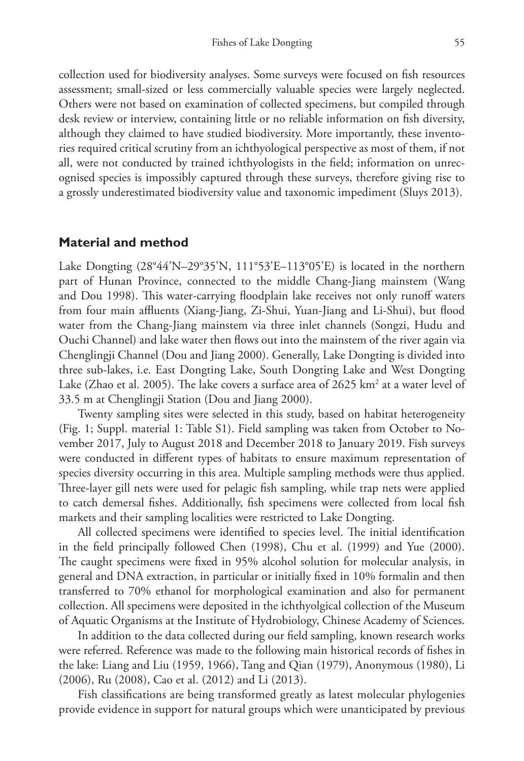collection used for biodiversity analyses. Some surveys were focused on fish resources assessment; small-sized or less commercially valuable species were largely neglected. Others were not based on examination of collected specimens, but compiled through desk review or interview, containing little or no reliable information on fish diversity, although they claimed to have studied biodiversity. More importantly, these inventories required critical scrutiny from an ichthyological perspective as most of them, if not all, were not conducted by trained ichthyologists in the field; information on unrecognised species is impossibly captured through these surveys, therefore giving rise to a grossly underestimated biodiversity value and taxonomic impediment (Sluys 2013).

## **Material and method**

Lake Dongting (28°44'N–29°35'N, 111°53'E–113°05'E) is located in the northern part of Hunan Province, connected to the middle Chang-Jiang mainstem (Wang and Dou 1998). This water-carrying floodplain lake receives not only runoff waters from four main affluents (Xiang-Jiang, Zi-Shui, Yuan-Jiang and Li-Shui), but flood water from the Chang-Jiang mainstem via three inlet channels (Songzi, Hudu and Ouchi Channel) and lake water then flows out into the mainstem of the river again via Chenglingji Channel (Dou and Jiang 2000). Generally, Lake Dongting is divided into three sub-lakes, i.e. East Dongting Lake, South Dongting Lake and West Dongting Lake (Zhao et al. 2005). The lake covers a surface area of 2625  $\rm km^2$  at a water level of 33.5 m at Chenglingji Station (Dou and Jiang 2000).

Twenty sampling sites were selected in this study, based on habitat heterogeneity (Fig. 1; Suppl. material 1: Table S1). Field sampling was taken from October to November 2017, July to August 2018 and December 2018 to January 2019. Fish surveys were conducted in different types of habitats to ensure maximum representation of species diversity occurring in this area. Multiple sampling methods were thus applied. Three-layer gill nets were used for pelagic fish sampling, while trap nets were applied to catch demersal fishes. Additionally, fish specimens were collected from local fish markets and their sampling localities were restricted to Lake Dongting.

All collected specimens were identified to species level. The initial identification in the field principally followed Chen (1998), Chu et al. (1999) and Yue (2000). The caught specimens were fixed in 95% alcohol solution for molecular analysis, in general and DNA extraction, in particular or initially fixed in 10% formalin and then transferred to 70% ethanol for morphological examination and also for permanent collection. All specimens were deposited in the ichthyolgical collection of the Museum of Aquatic Organisms at the Institute of Hydrobiology, Chinese Academy of Sciences.

In addition to the data collected during our field sampling, known research works were referred. Reference was made to the following main historical records of fishes in the lake: Liang and Liu (1959, 1966), Tang and Qian (1979), Anonymous (1980), Li (2006), Ru (2008), Cao et al. (2012) and Li (2013).

Fish classifications are being transformed greatly as latest molecular phylogenies provide evidence in support for natural groups which were unanticipated by previous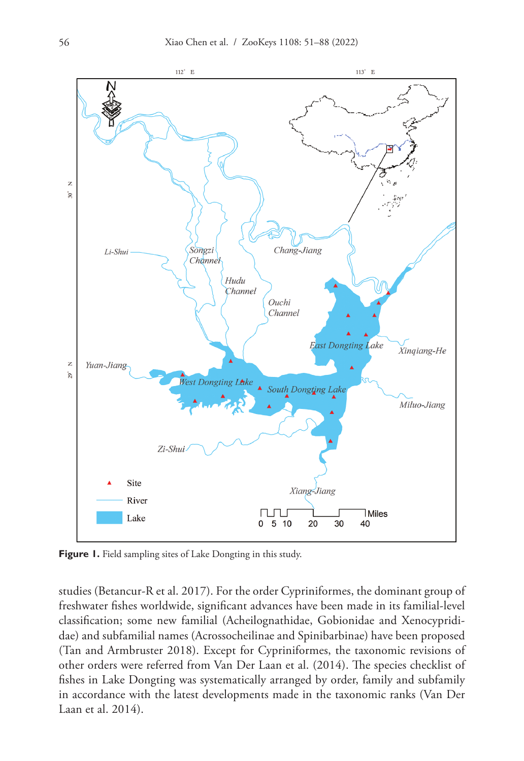

Figure 1. Field sampling sites of Lake Dongting in this study.

studies (Betancur-R et al. 2017). For the order Cypriniformes, the dominant group of freshwater fishes worldwide, significant advances have been made in its familial-level classification; some new familial (Acheilognathidae, Gobionidae and Xenocyprididae) and subfamilial names (Acrossocheilinae and Spinibarbinae) have been proposed (Tan and Armbruster 2018). Except for Cypriniformes, the taxonomic revisions of other orders were referred from Van Der Laan et al. (2014). The species checklist of fishes in Lake Dongting was systematically arranged by order, family and subfamily in accordance with the latest developments made in the taxonomic ranks (Van Der Laan et al. 2014).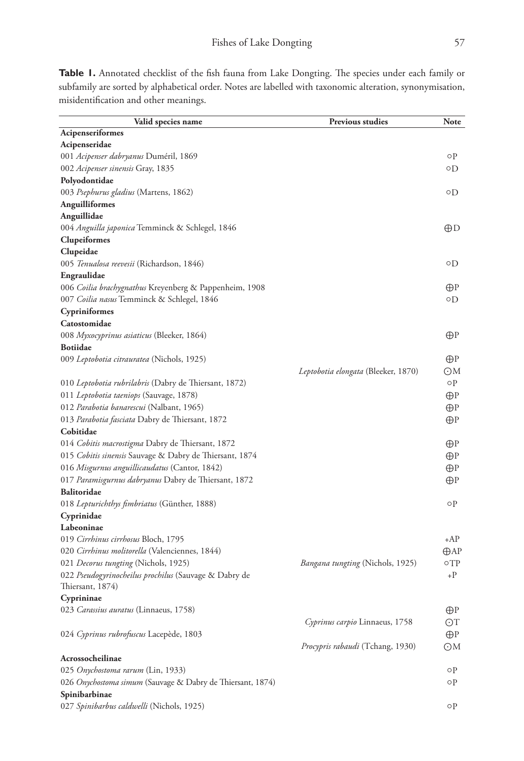Table 1. Annotated checklist of the fish fauna from Lake Dongting. The species under each family or subfamily are sorted by alphabetical order. Notes are labelled with taxonomic alteration, synonymisation, misidentification and other meanings.

| Valid species name                                         | <b>Previous studies</b>                 | <b>Note</b>    |
|------------------------------------------------------------|-----------------------------------------|----------------|
| Acipenseriformes                                           |                                         |                |
| Acipenseridae                                              |                                         |                |
| 001 Acipenser dabryanus Duméril, 1869                      |                                         | οP             |
| 002 Acipenser sinensis Gray, 1835                          |                                         | ٥D             |
| Polyodontidae                                              |                                         |                |
| 003 Psephurus gladius (Martens, 1862)                      |                                         | ٥D             |
| Anguilliformes                                             |                                         |                |
| Anguillidae                                                |                                         |                |
| 004 Anguilla japonica Temminck & Schlegel, 1846            |                                         | ⊕D             |
| Clupeiformes                                               |                                         |                |
| Clupeidae                                                  |                                         |                |
| 005 Tenualosa reevesii (Richardson, 1846)                  |                                         | ٥D             |
| Engraulidae                                                |                                         |                |
| 006 Coilia brachygnathus Kreyenberg & Pappenheim, 1908     |                                         | ⊕P             |
| 007 Coilia nasus Temminck & Schlegel, 1846                 |                                         | ٥D             |
| Cypriniformes                                              |                                         |                |
| Catostomidae                                               |                                         |                |
| 008 Myxocyprinus asiaticus (Bleeker, 1864)                 |                                         | $\bigoplus$ P  |
| <b>Botiidae</b>                                            |                                         |                |
| 009 Leptobotia citrauratea (Nichols, 1925)                 |                                         | $\bigoplus$ P  |
|                                                            | Leptobotia elongata (Bleeker, 1870)     | ΘM             |
| 010 Leptobotia rubrilabris (Dabry de Thiersant, 1872)      |                                         | οP             |
| 011 Leptobotia taeniops (Sauvage, 1878)                    |                                         | $\bigoplus$ P  |
| 012 Parabotia banarescui (Nalbant, 1965)                   |                                         | $\bigoplus$ P  |
| 013 Parabotia fasciata Dabry de Thiersant, 1872            |                                         | $\bigoplus$ P  |
| Cobitidae                                                  |                                         |                |
| 014 Cobitis macrostigma Dabry de Thiersant, 1872           |                                         | ⊕P             |
| 015 Cobitis sinensis Sauvage & Dabry de Thiersant, 1874    |                                         | $\bigoplus$ P  |
| 016 Misgurnus anguillicaudatus (Cantor, 1842)              |                                         | $\bigoplus$ P  |
| 017 Paramisgurnus dabryanus Dabry de Thiersant, 1872       |                                         | ⊕P             |
| Balitoridae                                                |                                         |                |
| 018 Lepturichthys fimbriatus (Günther, 1888)               |                                         | οP             |
| Cyprinidae                                                 |                                         |                |
| Labeoninae                                                 |                                         |                |
| 019 Cirrhinus cirrhosus Bloch, 1795                        |                                         | +AP            |
| 020 Cirrhinus molitorella (Valenciennes, 1844)             |                                         | $\bigoplus AP$ |
| 021 Decorus tungting (Nichols, 1925)                       | <i>Bangana tungting</i> (Nichols, 1925) | $\circ$ TP     |
| 022 Pseudogyrinocheilus prochilus (Sauvage & Dabry de      |                                         | $+P$           |
| Thiersant, 1874)                                           |                                         |                |
| Cyprininae                                                 |                                         |                |
| 023 Carassius auratus (Linnaeus, 1758)                     |                                         | $\bigoplus$ P  |
|                                                            | Cyprinus carpio Linnaeus, 1758          | OΤ             |
| 024 Cyprinus rubrofuscus Lacepède, 1803                    |                                         | $\bigoplus$ P  |
|                                                            | <i>Procypris rabaudi</i> (Tchang, 1930) | OM             |
| Acrossocheilinae                                           |                                         |                |
| 025 Onychostoma rarum (Lin, 1933)                          |                                         | οP             |
| 026 Onychostoma simum (Sauvage & Dabry de Thiersant, 1874) |                                         | οP             |
| Spinibarbinae                                              |                                         |                |
| 027 Spinibarbus caldwelli (Nichols, 1925)                  |                                         | οP             |
|                                                            |                                         |                |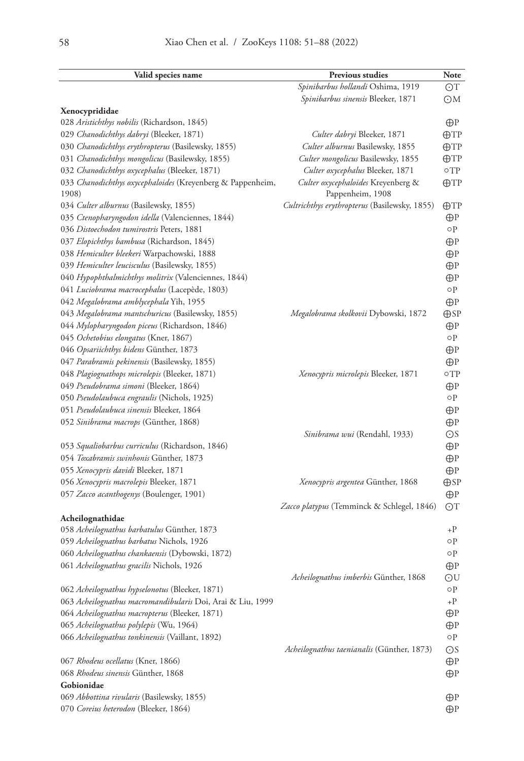| Valid species name                                                  | Previous studies                                       | Note               |
|---------------------------------------------------------------------|--------------------------------------------------------|--------------------|
|                                                                     | Spinibarbus hollandi Oshima, 1919                      | ΘT                 |
|                                                                     | Spinibarbus sinensis Bleeker, 1871                     | OM                 |
| Xenocyprididae                                                      |                                                        |                    |
| 028 Aristichthys nobilis (Richardson, 1845)                         |                                                        | $\bigoplus$ P      |
| 029 Chanodichthys dabryi (Bleeker, 1871)                            | Culter dabryi Bleeker, 1871                            | $\bigoplus TP$     |
| 030 Chanodichthys erythropterus (Basilewsky, 1855)                  | Culter alburnus Basilewsky, 1855                       | $\bigoplus TP$     |
| 031 Chanodichthys mongolicus (Basilewsky, 1855)                     | Culter mongolicus Basilewsky, 1855                     | $\bigoplus TP$     |
| 032 Chanodichthys oxycephalus (Bleeker, 1871)                       | Culter oxycephalus Bleeker, 1871                       | οTP                |
| 033 Chanodichthys oxycephaloides (Kreyenberg & Pappenheim,<br>1908) | Culter oxycephaloides Kreyenberg &<br>Pappenheim, 1908 | $\bigoplus TP$     |
| 034 Culter alburnus (Basilewsky, 1855)                              | Cultrichthys erythropterus (Basilewsky, 1855)          | $\bigoplus TP$     |
| 035 Ctenopharyngodon idella (Valenciennes, 1844)                    |                                                        | $\bigoplus$ P      |
| 036 Distoechodon tumirostris Peters, 1881                           |                                                        | οP                 |
| 037 Elopichthys bambusa (Richardson, 1845)                          |                                                        | $\bigoplus$ P      |
| 038 Hemiculter bleekeri Warpachowski, 1888                          |                                                        | $\bigoplus$ P      |
| 039 Hemiculter leucisculus (Basilewsky, 1855)                       |                                                        | $\bigoplus$ P      |
| 040 Hypophthalmichthys molitrix (Valenciennes, 1844)                |                                                        | $\bigoplus$ P      |
| 041 Luciobrama macrocephalus (Lacepède, 1803)                       |                                                        | $\circ \mathbf{P}$ |
| 042 Megalobrama amblycephala Yih, 1955                              |                                                        | $\bigoplus$ P      |
| 043 Megalobrama mantschuricus (Basilewsky, 1855)                    | Megalobrama skolkovii Dybowski, 1872                   | $\bigoplus$ SP     |
| 044 Mylopharyngodon piceus (Richardson, 1846)                       |                                                        | $\bigoplus$ P      |
| 045 Ochetobius elongatus (Kner, 1867)                               |                                                        | οP                 |
| 046 Opsariichthys bidens Günther, 1873                              |                                                        | $\bigoplus$ P      |
| 047 Parabramis pekinensis (Basilewsky, 1855)                        |                                                        | $\bigoplus$ P      |
| 048 Plagiognathops microlepis (Bleeker, 1871)                       | Xenocypris microlepis Bleeker, 1871                    | $\circ$ TP         |
| 049 Pseudobrama simoni (Bleeker, 1864)                              |                                                        | $\bigoplus$ P      |
| 050 Pseudolaubuca engraulis (Nichols, 1925)                         |                                                        | οP                 |
| 051 Pseudolaubuca sinensis Bleeker, 1864                            |                                                        | $\bigoplus$ P      |
| 052 Sinibrama macrops (Günther, 1868)                               |                                                        | $\bigoplus$ P      |
|                                                                     | Sinibrama wui (Rendahl, 1933)                          | ΘS                 |
| 053 Squaliobarbus curriculus (Richardson, 1846)                     |                                                        | $\bigoplus$ P      |
| 054 Toxabramis swinhonis Günther, 1873                              |                                                        | $\bigoplus$ P      |
| 055 Xenocypris davidi Bleeker, 1871                                 |                                                        | $\bigoplus$ P      |
| 056 Xenocypris macrolepis Bleeker, 1871                             | Xenocypris argentea Günther, 1868                      | $\bigoplus$ SP     |
| 057 Zacco acanthogenys (Boulenger, 1901)                            |                                                        | $\bigoplus$ P      |
|                                                                     | Zacco platypus (Temminck & Schlegel, 1846)             | OΤ                 |
| Acheilognathidae                                                    |                                                        |                    |
| 058 Acheilognathus barbatulus Günther, 1873                         |                                                        | $+P$               |
| 059 Acheilognathus barbatus Nichols, 1926                           |                                                        | οP                 |
| 060 Acheilognathus chankaensis (Dybowski, 1872)                     |                                                        | οP                 |
| 061 Acheilognathus gracilis Nichols, 1926                           |                                                        | $\bigoplus$ P      |
|                                                                     | Acheilognathus imberbis Günther, 1868                  | ΘU                 |
| 062 Acheilognathus hypselonotus (Bleeker, 1871)                     |                                                        | οP                 |
| 063 Acheilognathus macromandibularis Doi, Arai & Liu, 1999          |                                                        | $+P$               |
| 064 Acheilognathus macropterus (Bleeker, 1871)                      |                                                        | $\bigoplus$ P      |
| 065 Acheilognathus polylepis (Wu, 1964)                             |                                                        | $\bigoplus$ P      |
| 066 Acheilognathus tonkinensis (Vaillant, 1892)                     |                                                        | οP                 |
|                                                                     | Acheilognathus taenianalis (Günther, 1873)             | ΘS                 |
| 067 Rhodeus ocellatus (Kner, 1866)                                  |                                                        | $\bigoplus$ P      |
| 068 Rhodeus sinensis Günther, 1868<br>Gobionidae                    |                                                        | $\bigoplus$ P      |
| 069 Abbottina rivularis (Basilewsky, 1855)                          |                                                        |                    |
| 070 Coreius heterodon (Bleeker, 1864)                               |                                                        | $\bigoplus$ P      |
|                                                                     |                                                        | $\bigoplus$ P      |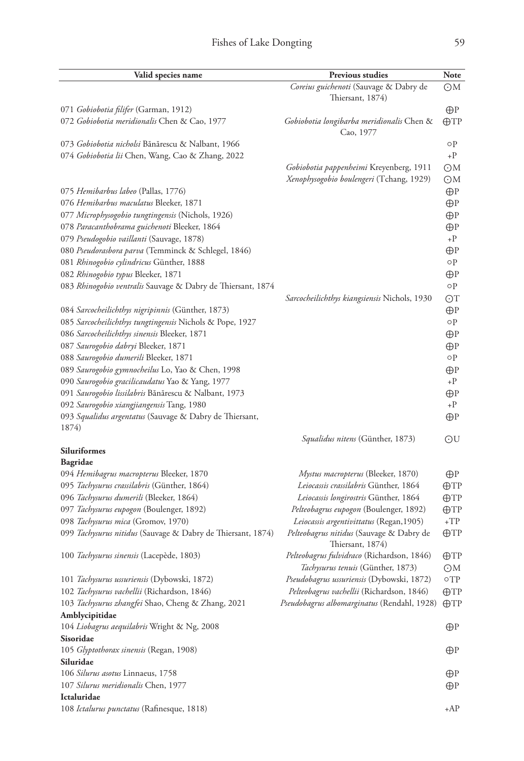| Valid species name                                          | <b>Previous studies</b>                                      | Note           |
|-------------------------------------------------------------|--------------------------------------------------------------|----------------|
|                                                             | Coreius guichenoti (Sauvage & Dabry de                       | ΘМ             |
|                                                             | Thiersant, 1874)                                             |                |
| 071 Gobiobotia filifer (Garman, 1912)                       |                                                              | $\bigoplus$ P  |
| 072 Gobiobotia meridionalis Chen & Cao, 1977                | Gobiobotia longibarba meridionalis Chen &                    | $\bigoplus TP$ |
|                                                             | Cao, 1977                                                    |                |
| 073 Gobiobotia nicholsi Bănărescu & Nalbant, 1966           |                                                              | οP             |
| 074 Gobiobotia lii Chen, Wang, Cao & Zhang, 2022            |                                                              | $+P$           |
|                                                             | <i>Gobiobotia pappenheimi</i> Kreyenberg, 1911               | OM             |
|                                                             | Xenophysogobio boulengeri (Tchang, 1929)                     | OM             |
| 075 Hemibarbus labeo (Pallas, 1776)                         |                                                              | $\bigoplus$ P  |
| 076 Hemibarbus maculatus Bleeker, 1871                      |                                                              | $\bigoplus$ P  |
| 077 Microphysogobio tungtingensis (Nichols, 1926)           |                                                              | $\bigoplus$ P  |
| 078 Paracanthobrama guichenoti Bleeker, 1864                |                                                              | ⊕P             |
| 079 Pseudogobio vaillanti (Sauvage, 1878)                   |                                                              | $+P$           |
| 080 Pseudorasbora parva (Temminck & Schlegel, 1846)         |                                                              | $\bigoplus$ P  |
| 081 Rhinogobio cylindricus Günther, 1888                    |                                                              | οP             |
| 082 Rhinogobio typus Bleeker, 1871                          |                                                              | ⊕P             |
| 083 Rhinogobio ventralis Sauvage & Dabry de Thiersant, 1874 |                                                              | οP             |
|                                                             | Sarcocheilichthys kiangsiensis Nichols, 1930                 | OΤ             |
| 084 Sarcocheilichthys nigripinnis (Günther, 1873)           |                                                              | ⊕P             |
| 085 Sarcocheilichthys tungtingensis Nichols & Pope, 1927    |                                                              | οP             |
| 086 Sarcocheilichthys sinensis Bleeker, 1871                |                                                              | ⊕P             |
| 087 Saurogobio dabryi Bleeker, 1871                         |                                                              | ⊕P             |
| 088 Saurogobio dumerili Bleeker, 1871                       |                                                              | οP             |
| 089 Saurogobio gymnocheilus Lo, Yao & Chen, 1998            |                                                              | ⊕P             |
| 090 Saurogobio gracilicaudatus Yao & Yang, 1977             |                                                              | $+P$           |
| 091 Saurogobio lissilabris Bănărescu & Nalbant, 1973        |                                                              | $\bigoplus$ P  |
| 092 Saurogobio xiangjiangensis Tang, 1980                   |                                                              | $+P$           |
| 093 Squalidus argentatus (Sauvage & Dabry de Thiersant,     |                                                              | $\bigoplus$ P  |
| 1874)                                                       |                                                              |                |
|                                                             | <i>Squalidus nitens</i> (Günther, 1873)                      | ⊙U             |
| Siluriformes                                                |                                                              |                |
| Bagridae                                                    |                                                              |                |
| 094 Hemibagrus macropterus Bleeker, 1870                    | Mystus macropterus (Bleeker, 1870)                           | $\bigoplus$ P  |
| 095 Tachysurus crassilabris (Günther, 1864)                 | Leiocassis crassilabris Günther, 1864                        | $\bigoplus TP$ |
| 096 Tachysurus dumerili (Bleeker, 1864)                     | Leiocassis longirostris Günther, 1864                        | $\bigoplus TP$ |
| 097 Tachysurus eupogon (Boulenger, 1892)                    | Pelteobagrus eupogon (Boulenger, 1892)                       | $\bigoplus TP$ |
| 098 Tachysurus mica (Gromov, 1970)                          | Leiocassis argentivittatus (Regan, 1905)                     | $+TP$          |
| 099 Tachysurus nitidus (Sauvage & Dabry de Thiersant, 1874) | Pelteobagrus nitidus (Sauvage & Dabry de<br>Thiersant, 1874) | $\bigoplus TP$ |
| 100 Tachysurus sinensis (Lacepède, 1803)                    | Pelteobagrus fulvidraco (Richardson, 1846)                   | $\bigoplus TP$ |
|                                                             | Tachysurus tenuis (Günther, 1873)                            | OM             |
| 101 Tachysurus ussuriensis (Dybowski, 1872)                 | <i>Pseudobagrus ussuriensis</i> (Dybowski, 1872)             | οTP            |
| 102 Tachysurus vachellii (Richardson, 1846)                 | Pelteobagrus vachellii (Richardson, 1846)                    | $\bigoplus TP$ |
| 103 Tachysurus zhangfei Shao, Cheng & Zhang, 2021           | Pseudobagrus albomarginatus (Rendahl, 1928)                  | $\bigoplus TP$ |
| Amblycipitidae                                              |                                                              |                |
| 104 Liobagrus aequilabris Wright & Ng, 2008                 |                                                              | $\bigoplus$ P  |
| Sisoridae                                                   |                                                              |                |
| 105 Glyptothorax sinensis (Regan, 1908)                     |                                                              | $\bigoplus$ P  |
| Siluridae                                                   |                                                              |                |
| 106 Silurus asotus Linnaeus, 1758                           |                                                              | $\bigoplus$ P  |
| 107 Silurus meridionalis Chen, 1977                         |                                                              | $\bigoplus$ P  |
| Ictaluridae                                                 |                                                              |                |
| 108 Ictalurus punctatus (Rafinesque, 1818)                  |                                                              | +AP            |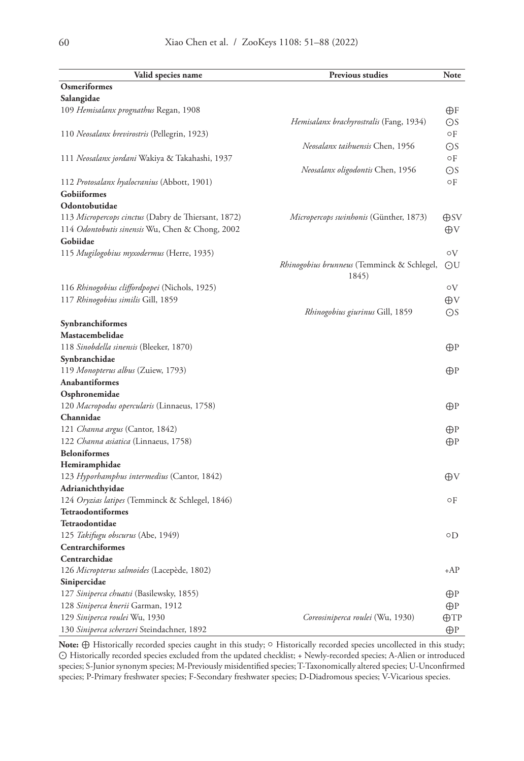| Valid species name                                  | Previous studies                               | Note           |
|-----------------------------------------------------|------------------------------------------------|----------------|
| Osmeriformes                                        |                                                |                |
| Salangidae                                          |                                                |                |
| 109 Hemisalanx prognathus Regan, 1908               |                                                | θF             |
|                                                     | <i>Hemisalanx brachyrostralis</i> (Fang, 1934) | ΘS             |
| 110 Neosalanx brevirostris (Pellegrin, 1923)        |                                                | οF             |
|                                                     | Neosalanx taihuensis Chen, 1956                | OS             |
| 111 Neosalanx jordani Wakiya & Takahashi, 1937      |                                                | οF             |
|                                                     | Neosalanx oligodontis Chen, 1956               | $\odot$ S      |
| 112 Protosalanx hyalocranius (Abbott, 1901)         |                                                | οF             |
| Gobiiformes                                         |                                                |                |
| Odontobutidae                                       |                                                |                |
| 113 Micropercops cinctus (Dabry de Thiersant, 1872) | <i>Micropercops swinhonis</i> (Günther, 1873)  | $\oplus$ SV    |
| 114 Odontobutis sinensis Wu, Chen & Chong, 2002     |                                                | $\oplus$ V     |
| Gobiidae                                            |                                                |                |
| 115 Mugilogobius myxodermus (Herre, 1935)           |                                                | oV             |
|                                                     | Rhinogobius brunneus (Temminck & Schlegel,     | ΘU             |
|                                                     | 1845)                                          |                |
| 116 Rhinogobius cliffordpopei (Nichols, 1925)       |                                                | οV             |
| 117 Rhinogobius similis Gill, 1859                  |                                                | ⊕V             |
|                                                     | <i>Rhinogobius giurinus</i> Gill, 1859         | OS             |
| Synbranchiformes                                    |                                                |                |
| Mastacembelidae                                     |                                                |                |
| 118 Sinobdella sinensis (Bleeker, 1870)             |                                                | $\bigoplus$ P  |
| Synbranchidae                                       |                                                |                |
| 119 Monopterus albus (Zuiew, 1793)                  |                                                | ⊕P             |
| <b>Anabantiformes</b>                               |                                                |                |
| Osphronemidae                                       |                                                |                |
| 120 Macropodus opercularis (Linnaeus, 1758)         |                                                | ⊕P             |
| Channidae                                           |                                                |                |
| 121 Channa argus (Cantor, 1842)                     |                                                | ⊕P             |
| 122 Channa asiatica (Linnaeus, 1758)                |                                                | $\bigoplus$ P  |
| <b>Beloniformes</b>                                 |                                                |                |
| Hemiramphidae                                       |                                                |                |
| 123 Hyporhamphus intermedius (Cantor, 1842)         |                                                | Aν             |
| Adrianichthyidae                                    |                                                |                |
| 124 Oryzias latipes (Temminck & Schlegel, 1846)     |                                                | οF             |
| Tetraodontiformes                                   |                                                |                |
| Tetraodontidae                                      |                                                |                |
| 125 Takifugu obscurus (Abe, 1949)                   |                                                | οD             |
| Centrarchiformes                                    |                                                |                |
| Centrarchidae                                       |                                                |                |
| 126 Micropterus salmoides (Lacepède, 1802)          |                                                | $+AP$          |
| Sinipercidae                                        |                                                |                |
| 127 Siniperca chuatsi (Basilewsky, 1855)            |                                                | ⊕P             |
| 128 Siniperca knerii Garman, 1912                   |                                                | ⊕P             |
| 129 Siniperca roulei Wu, 1930                       | Coreosiniperca roulei (Wu, 1930)               | $\bigoplus TP$ |
| 130 Siniperca scherzeri Steindachner, 1892          |                                                | $\bigoplus$ P  |

Note: ⊕ Historically recorded species caught in this study; ○ Historically recorded species uncollected in this study; ⊙ Historically recorded species excluded from the updated checklist; + Newly-recorded species; A-Alien or introduced species; S-Junior synonym species; M-Previously misidentified species; T-Taxonomically altered species; U-Unconfirmed species; P-Primary freshwater species; F-Secondary freshwater species; D-Diadromous species; V-Vicarious species.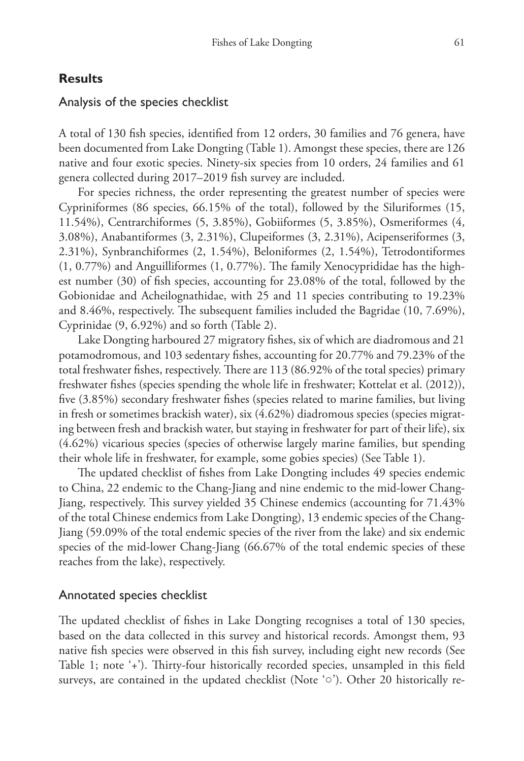# **Results**

## Analysis of the species checklist

A total of 130 fish species, identified from 12 orders, 30 families and 76 genera, have been documented from Lake Dongting (Table 1). Amongst these species, there are 126 native and four exotic species. Ninety-six species from 10 orders, 24 families and 61 genera collected during 2017–2019 fish survey are included.

For species richness, the order representing the greatest number of species were Cypriniformes (86 species, 66.15% of the total), followed by the Siluriformes (15, 11.54%), Centrarchiformes (5, 3.85%), Gobiiformes (5, 3.85%), Osmeriformes (4, 3.08%), Anabantiformes (3, 2.31%), Clupeiformes (3, 2.31%), Acipenseriformes (3, 2.31%), Synbranchiformes (2, 1.54%), Beloniformes (2, 1.54%), Tetrodontiformes (1, 0.77%) and Anguilliformes (1, 0.77%). The family Xenocyprididae has the highest number (30) of fish species, accounting for 23.08% of the total, followed by the Gobionidae and Acheilognathidae, with 25 and 11 species contributing to 19.23% and 8.46%, respectively. The subsequent families included the Bagridae (10, 7.69%), Cyprinidae (9, 6.92%) and so forth (Table 2).

Lake Dongting harboured 27 migratory fishes, six of which are diadromous and 21 potamodromous, and 103 sedentary fishes, accounting for 20.77% and 79.23% of the total freshwater fishes, respectively. There are 113 (86.92% of the total species) primary freshwater fishes (species spending the whole life in freshwater; Kottelat et al. (2012)), five (3.85%) secondary freshwater fishes (species related to marine families, but living in fresh or sometimes brackish water), six (4.62%) diadromous species (species migrating between fresh and brackish water, but staying in freshwater for part of their life), six (4.62%) vicarious species (species of otherwise largely marine families, but spending their whole life in freshwater, for example, some gobies species) (See Table 1).

The updated checklist of fishes from Lake Dongting includes 49 species endemic to China, 22 endemic to the Chang-Jiang and nine endemic to the mid-lower Chang-Jiang, respectively. This survey yielded 35 Chinese endemics (accounting for 71.43% of the total Chinese endemics from Lake Dongting), 13 endemic species of the Chang-Jiang (59.09% of the total endemic species of the river from the lake) and six endemic species of the mid-lower Chang-Jiang (66.67% of the total endemic species of these reaches from the lake), respectively.

## Annotated species checklist

The updated checklist of fishes in Lake Dongting recognises a total of 130 species, based on the data collected in this survey and historical records. Amongst them, 93 native fish species were observed in this fish survey, including eight new records (See Table 1; note '+'). Thirty-four historically recorded species, unsampled in this field surveys, are contained in the updated checklist (Note '○'). Other 20 historically re-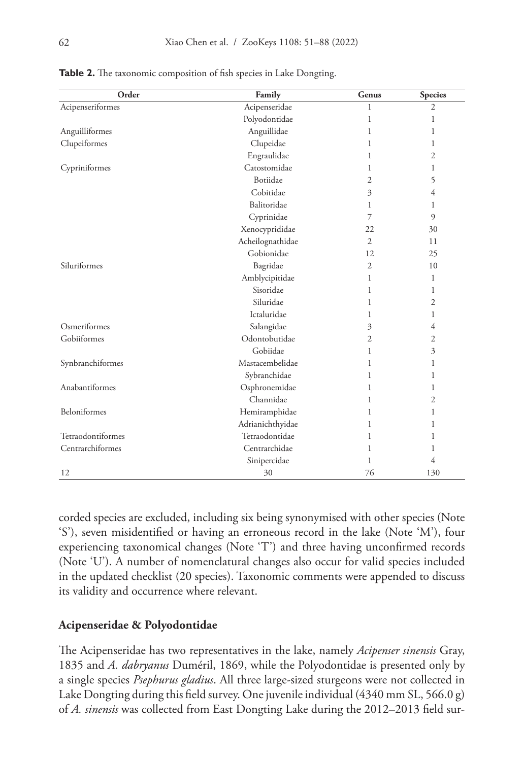| Order             | Family           | Genus          | <b>Species</b> |
|-------------------|------------------|----------------|----------------|
| Acipenseriformes  | Acipenseridae    | 1              | $\overline{2}$ |
|                   | Polyodontidae    | 1              | 1              |
| Anguilliformes    | Anguillidae      | 1              | 1              |
| Clupeiformes      | Clupeidae        | 1              | 1              |
|                   | Engraulidae      | 1              | $\overline{2}$ |
| Cypriniformes     | Catostomidae     | 1              | 1              |
|                   | Botiidae         | $\overline{2}$ | 5              |
|                   | Cobitidae        | 3              | 4              |
|                   | Balitoridae      | 1              | 1              |
|                   | Cyprinidae       | $\overline{7}$ | $\overline{9}$ |
|                   | Xenocyprididae   | 22             | 30             |
|                   | Acheilognathidae | $\overline{2}$ | 11             |
|                   | Gobionidae       | 12             | 25             |
| Siluriformes      | Bagridae         | $\overline{2}$ | 10             |
|                   | Amblycipitidae   | $\mathbf{1}$   | 1              |
|                   | Sisoridae        | 1              | 1              |
|                   | Siluridae        | 1              | 2              |
|                   | Ictaluridae      | 1              | 1              |
| Osmeriformes      | Salangidae       | 3              | 4              |
| Gobiiformes       | Odontobutidae    | $\overline{2}$ | $\mathfrak{2}$ |
|                   | Gobiidae         | 1              | 3              |
| Synbranchiformes  | Mastacembelidae  | 1              | 1              |
|                   | Sybranchidae     | 1              | 1              |
| Anabantiformes    | Osphronemidae    | 1              | 1              |
|                   | Channidae        | 1              | 2              |
| Beloniformes      | Hemiramphidae    | 1              | 1              |
|                   | Adrianichthyidae | 1              | 1              |
| Tetraodontiformes | Tetraodontidae   | 1              | 1              |
| Centrarchiformes  | Centrarchidae    | 1              | 1              |
|                   | Sinipercidae     | 1              | 4              |
| 12                | 30               | 76             | 130            |

**Table 2.** The taxonomic composition of fish species in Lake Dongting.

corded species are excluded, including six being synonymised with other species (Note 'S'), seven misidentified or having an erroneous record in the lake (Note 'M'), four experiencing taxonomical changes (Note 'T') and three having unconfirmed records (Note 'U'). A number of nomenclatural changes also occur for valid species included in the updated checklist (20 species). Taxonomic comments were appended to discuss its validity and occurrence where relevant.

#### **Acipenseridae & Polyodontidae**

The Acipenseridae has two representatives in the lake, namely *Acipenser sinensis* Gray, 1835 and *A. dabryanus* Duméril, 1869, while the Polyodontidae is presented only by a single species *Psephurus gladius*. All three large-sized sturgeons were not collected in Lake Dongting during this field survey. One juvenile individual (4340 mm SL, 566.0 g) of *A. sinensis* was collected from East Dongting Lake during the 2012–2013 field sur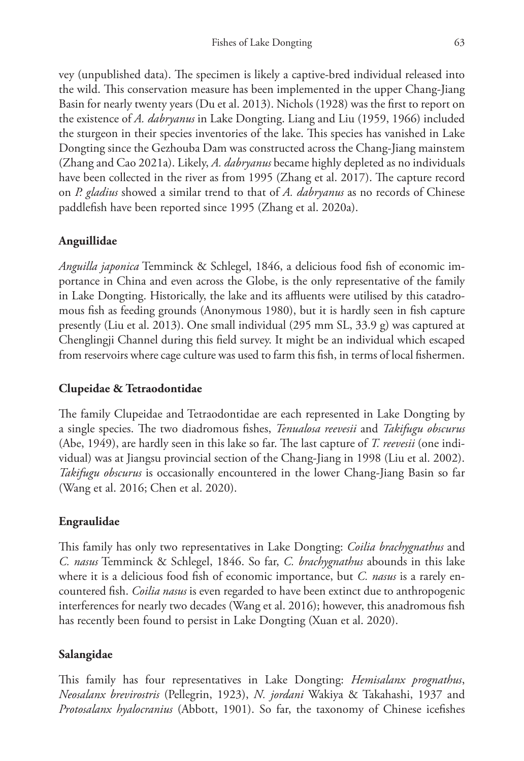vey (unpublished data). The specimen is likely a captive-bred individual released into the wild. This conservation measure has been implemented in the upper Chang-Jiang Basin for nearly twenty years (Du et al. 2013). Nichols (1928) was the first to report on the existence of *A. dabryanus* in Lake Dongting. Liang and Liu (1959, 1966) included the sturgeon in their species inventories of the lake. This species has vanished in Lake Dongting since the Gezhouba Dam was constructed across the Chang-Jiang mainstem (Zhang and Cao 2021a). Likely, *A. dabryanus* became highly depleted as no individuals have been collected in the river as from 1995 (Zhang et al. 2017). The capture record on *P. gladius* showed a similar trend to that of *A. dabryanus* as no records of Chinese paddlefish have been reported since 1995 (Zhang et al. 2020a).

# **Anguillidae**

*Anguilla japonica* Temminck & Schlegel, 1846, a delicious food fish of economic importance in China and even across the Globe, is the only representative of the family in Lake Dongting. Historically, the lake and its affluents were utilised by this catadromous fish as feeding grounds (Anonymous 1980), but it is hardly seen in fish capture presently (Liu et al. 2013). One small individual (295 mm SL, 33.9 g) was captured at Chenglingji Channel during this field survey. It might be an individual which escaped from reservoirs where cage culture was used to farm this fish, in terms of local fishermen.

# **Clupeidae & Tetraodontidae**

The family Clupeidae and Tetraodontidae are each represented in Lake Dongting by a single species. The two diadromous fishes, *Tenualosa reevesii* and *Takifugu obscurus* (Abe, 1949), are hardly seen in this lake so far. The last capture of *T. reevesii* (one individual) was at Jiangsu provincial section of the Chang-Jiang in 1998 (Liu et al. 2002). *Takifugu obscurus* is occasionally encountered in the lower Chang-Jiang Basin so far (Wang et al. 2016; Chen et al. 2020).

# **Engraulidae**

This family has only two representatives in Lake Dongting: *Coilia brachygnathus* and *C. nasus* Temminck & Schlegel, 1846. So far, *C. brachygnathus* abounds in this lake where it is a delicious food fish of economic importance, but *C. nasus* is a rarely encountered fish. *Coilia nasus* is even regarded to have been extinct due to anthropogenic interferences for nearly two decades (Wang et al. 2016); however, this anadromous fish has recently been found to persist in Lake Dongting (Xuan et al. 2020).

# **Salangidae**

This family has four representatives in Lake Dongting: *Hemisalanx prognathus*, *Neosalanx brevirostris* (Pellegrin, 1923), *N. jordani* Wakiya & Takahashi, 1937 and *Protosalanx hyalocranius* (Abbott, 1901). So far, the taxonomy of Chinese icefishes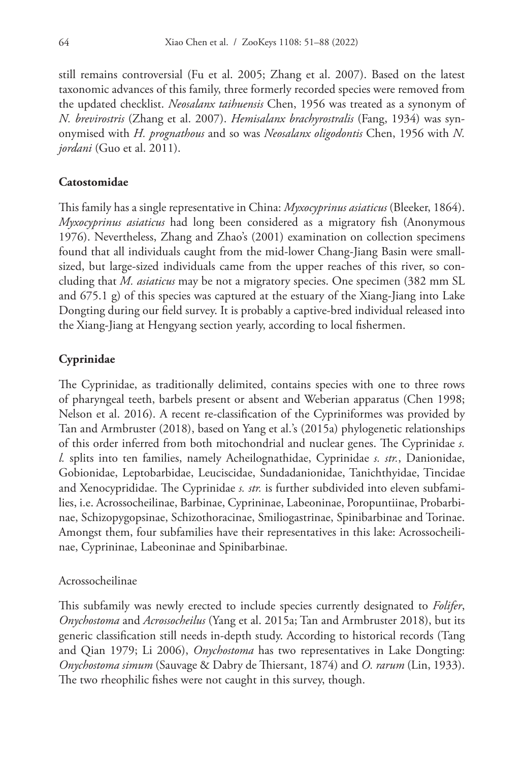still remains controversial (Fu et al. 2005; Zhang et al. 2007). Based on the latest taxonomic advances of this family, three formerly recorded species were removed from the updated checklist. *Neosalanx taihuensis* Chen, 1956 was treated as a synonym of *N. brevirostris* (Zhang et al. 2007). *Hemisalanx brachyrostralis* (Fang, 1934) was synonymised with *H. prognathous* and so was *Neosalanx oligodontis* Chen, 1956 with *N. jordani* (Guo et al. 2011).

#### **Catostomidae**

This family has a single representative in China: *Myxocyprinus asiaticus* (Bleeker, 1864). *Myxocyprinus asiaticus* had long been considered as a migratory fish (Anonymous 1976). Nevertheless, Zhang and Zhao's (2001) examination on collection specimens found that all individuals caught from the mid-lower Chang-Jiang Basin were smallsized, but large-sized individuals came from the upper reaches of this river, so concluding that *M. asiaticus* may be not a migratory species. One specimen (382 mm SL and 675.1 g) of this species was captured at the estuary of the Xiang-Jiang into Lake Dongting during our field survey. It is probably a captive-bred individual released into the Xiang-Jiang at Hengyang section yearly, according to local fishermen.

### **Cyprinidae**

The Cyprinidae, as traditionally delimited, contains species with one to three rows of pharyngeal teeth, barbels present or absent and Weberian apparatus (Chen 1998; Nelson et al. 2016). A recent re-classification of the Cypriniformes was provided by Tan and Armbruster (2018), based on Yang et al.'s (2015a) phylogenetic relationships of this order inferred from both mitochondrial and nuclear genes. The Cyprinidae *s. l.* splits into ten families, namely Acheilognathidae, Cyprinidae *s. str.*, Danionidae, Gobionidae, Leptobarbidae, Leuciscidae, Sundadanionidae, Tanichthyidae, Tincidae and Xenocyprididae. The Cyprinidae *s. str.* is further subdivided into eleven subfamilies, i.e. Acrossocheilinae, Barbinae, Cyprininae, Labeoninae, Poropuntiinae, Probarbinae, Schizopygopsinae, Schizothoracinae, Smiliogastrinae, Spinibarbinae and Torinae. Amongst them, four subfamilies have their representatives in this lake: Acrossocheilinae, Cyprininae, Labeoninae and Spinibarbinae.

#### Acrossocheilinae

This subfamily was newly erected to include species currently designated to *Folifer*, *Onychostoma* and *Acrossocheilus* (Yang et al. 2015a; Tan and Armbruster 2018), but its generic classification still needs in-depth study. According to historical records (Tang and Qian 1979; Li 2006), *Onychostoma* has two representatives in Lake Dongting: *Onychostoma simum* (Sauvage & Dabry de Thiersant, 1874) and *O. rarum* (Lin, 1933). The two rheophilic fishes were not caught in this survey, though.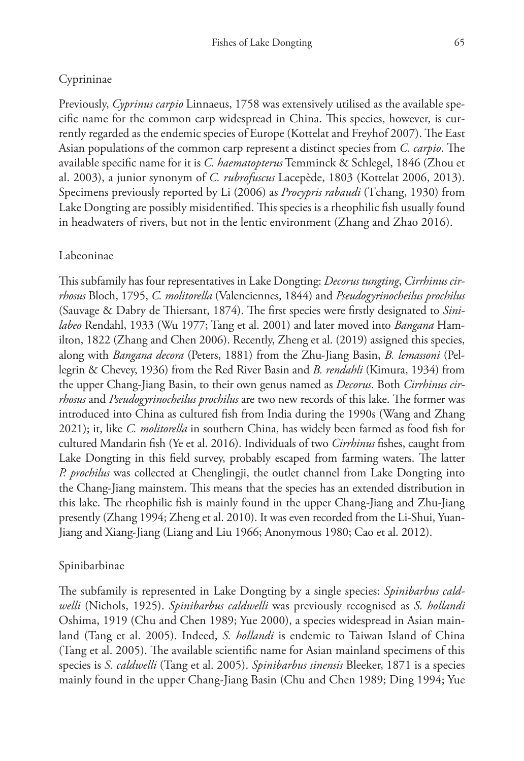# Cyprininae

Previously, *Cyprinus carpio* Linnaeus, 1758 was extensively utilised as the available specific name for the common carp widespread in China. This species, however, is currently regarded as the endemic species of Europe (Kottelat and Freyhof 2007). The East Asian populations of the common carp represent a distinct species from *C. carpio*. The available specific name for it is *C. haematopterus* Temminck & Schlegel, 1846 (Zhou et al. 2003), a junior synonym of *C. rubrofuscus* Lacepède, 1803 (Kottelat 2006, 2013). Specimens previously reported by Li (2006) as *Procypris rabaudi* (Tchang, 1930) from Lake Dongting are possibly misidentified. This species is a rheophilic fish usually found in headwaters of rivers, but not in the lentic environment (Zhang and Zhao 2016).

### Labeoninae

This subfamily has four representatives in Lake Dongting: *Decorus tungting*, *Cirrhinus cirrhosus* Bloch, 1795, *C. molitorella* (Valenciennes, 1844) and *Pseudogyrinocheilus prochilus* (Sauvage & Dabry de Thiersant, 1874). The first species were firstly designated to *Sinilabeo* Rendahl, 1933 (Wu 1977; Tang et al. 2001) and later moved into *Bangana* Hamilton, 1822 (Zhang and Chen 2006). Recently, Zheng et al. (2019) assigned this species, along with *Bangana decora* (Peters, 1881) from the Zhu-Jiang Basin, *B. lemassoni* (Pellegrin & Chevey, 1936) from the Red River Basin and *B. rendahli* (Kimura, 1934) from the upper Chang-Jiang Basin, to their own genus named as *Decorus*. Both *Cirrhinus cirrhosus* and *Pseudogyrinocheilus prochilus* are two new records of this lake. The former was introduced into China as cultured fish from India during the 1990s (Wang and Zhang 2021); it, like *C. molitorella* in southern China, has widely been farmed as food fish for cultured Mandarin fish (Ye et al. 2016). Individuals of two *Cirrhinus* fishes, caught from Lake Dongting in this field survey, probably escaped from farming waters. The latter *P. prochilus* was collected at Chenglingji, the outlet channel from Lake Dongting into the Chang-Jiang mainstem. This means that the species has an extended distribution in this lake. The rheophilic fish is mainly found in the upper Chang-Jiang and Zhu-Jiang presently (Zhang 1994; Zheng et al. 2010). It was even recorded from the Li-Shui, Yuan-Jiang and Xiang-Jiang (Liang and Liu 1966; Anonymous 1980; Cao et al. 2012).

## Spinibarbinae

The subfamily is represented in Lake Dongting by a single species: *Spinibarbus caldwelli* (Nichols, 1925). *Spinibarbus caldwelli* was previously recognised as *S. hollandi* Oshima, 1919 (Chu and Chen 1989; Yue 2000), a species widespread in Asian mainland (Tang et al. 2005). Indeed, *S. hollandi* is endemic to Taiwan Island of China (Tang et al. 2005). The available scientific name for Asian mainland specimens of this species is *S. caldwelli* (Tang et al. 2005). *Spinibarbus sinensis* Bleeker, 1871 is a species mainly found in the upper Chang-Jiang Basin (Chu and Chen 1989; Ding 1994; Yue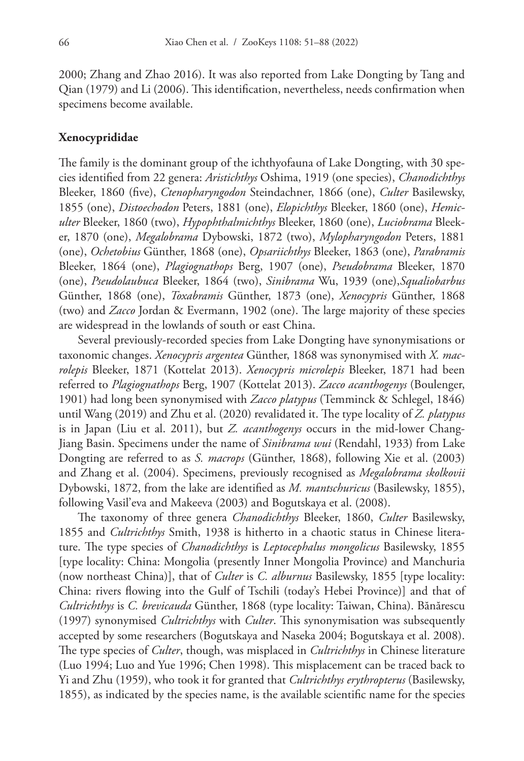2000; Zhang and Zhao 2016). It was also reported from Lake Dongting by Tang and Qian (1979) and Li (2006). This identification, nevertheless, needs confirmation when specimens become available.

#### **Xenocyprididae**

The family is the dominant group of the ichthyofauna of Lake Dongting, with 30 species identified from 22 genera: *Aristichthys* Oshima, 1919 (one species), *Chanodichthys* Bleeker, 1860 (five), *Ctenopharyngodon* Steindachner, 1866 (one), *Culter* Basilewsky, 1855 (one), *Distoechodon* Peters, 1881 (one), *Elopichthys* Bleeker, 1860 (one), *Hemiculter* Bleeker, 1860 (two), *Hypophthalmichthys* Bleeker, 1860 (one), *Luciobrama* Bleeker, 1870 (one), *Megalobrama* Dybowski, 1872 (two), *Mylopharyngodon* Peters, 1881 (one), *Ochetobius* Günther, 1868 (one), *Opsariichthys* Bleeker, 1863 (one), *Parabramis* Bleeker, 1864 (one), *Plagiognathops* Berg, 1907 (one), *Pseudobrama* Bleeker, 1870 (one), *Pseudolaubuca* Bleeker, 1864 (two), *Sinibrama* Wu, 1939 (one),*Squaliobarbus* Günther, 1868 (one), *Toxabramis* Günther, 1873 (one), *Xenocypris* Günther, 1868 (two) and *Zacco* Jordan & Evermann, 1902 (one). The large majority of these species are widespread in the lowlands of south or east China.

Several previously-recorded species from Lake Dongting have synonymisations or taxonomic changes. *Xenocypris argentea* Günther, 1868 was synonymised with *X. macrolepis* Bleeker, 1871 (Kottelat 2013). *Xenocypris microlepis* Bleeker, 1871 had been referred to *Plagiognathops* Berg, 1907 (Kottelat 2013). *Zacco acanthogenys* (Boulenger, 1901) had long been synonymised with *Zacco platypus* (Temminck & Schlegel, 1846) until Wang (2019) and Zhu et al. (2020) revalidated it. The type locality of *Z. platypus* is in Japan (Liu et al. 2011), but *Z. acanthogenys* occurs in the mid-lower Chang-Jiang Basin. Specimens under the name of *Sinibrama wui* (Rendahl, 1933) from Lake Dongting are referred to as *S. macrops* (Günther, 1868), following Xie et al. (2003) and Zhang et al. (2004). Specimens, previously recognised as *Megalobrama skolkovii* Dybowski, 1872, from the lake are identified as *M. mantschuricus* (Basilewsky, 1855), following Vasil'eva and Makeeva (2003) and Bogutskaya et al. (2008).

The taxonomy of three genera *Chanodichthys* Bleeker, 1860, *Culter* Basilewsky, 1855 and *Cultrichthys* Smith, 1938 is hitherto in a chaotic status in Chinese literature. The type species of *Chanodichthys* is *Leptocephalus mongolicus* Basilewsky, 1855 [type locality: China: Mongolia (presently Inner Mongolia Province) and Manchuria (now northeast China)], that of *Culter* is *C. alburnus* Basilewsky, 1855 [type locality: China: rivers flowing into the Gulf of Tschili (today's Hebei Province)] and that of *Cultrichthys* is *C. brevicauda* Günther, 1868 (type locality: Taiwan, China). Bănărescu (1997) synonymised *Cultrichthys* with *Culter*. This synonymisation was subsequently accepted by some researchers (Bogutskaya and Naseka 2004; Bogutskaya et al. 2008). The type species of *Culter*, though, was misplaced in *Cultrichthys* in Chinese literature (Luo 1994; Luo and Yue 1996; Chen 1998). This misplacement can be traced back to Yi and Zhu (1959), who took it for granted that *Cultrichthys erythropterus* (Basilewsky, 1855), as indicated by the species name, is the available scientific name for the species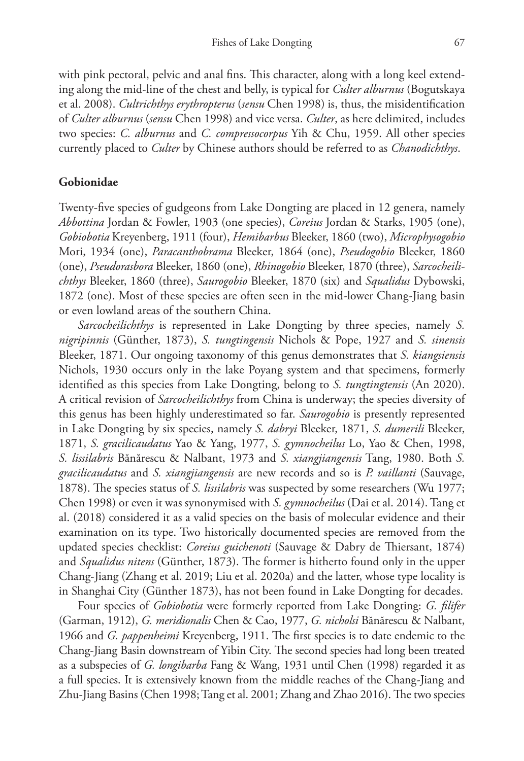with pink pectoral, pelvic and anal fins. This character, along with a long keel extending along the mid-line of the chest and belly, is typical for *Culter alburnus* (Bogutskaya et al. 2008). *Cultrichthys erythropterus* (*sensu* Chen 1998) is, thus, the misidentification of *Culter alburnus* (*sensu* Chen 1998) and vice versa. *Culter*, as here delimited, includes two species: *C. alburnus* and *C. compressocorpus* Yih & Chu, 1959. All other species currently placed to *Culter* by Chinese authors should be referred to as *Chanodichthys*.

#### **Gobionidae**

Twenty-five species of gudgeons from Lake Dongting are placed in 12 genera, namely *Abbottina* Jordan & Fowler, 1903 (one species), *Coreius* Jordan & Starks, 1905 (one), *Gobiobotia* Kreyenberg, 1911 (four), *Hemibarbus* Bleeker, 1860 (two), *Microphysogobio* Mori, 1934 (one), *Paracanthobrama* Bleeker, 1864 (one), *Pseudogobio* Bleeker, 1860 (one), *Pseudorasbora* Bleeker, 1860 (one), *Rhinogobio* Bleeker, 1870 (three), *Sarcocheilichthys* Bleeker, 1860 (three), *Saurogobio* Bleeker, 1870 (six) and *Squalidus* Dybowski, 1872 (one). Most of these species are often seen in the mid-lower Chang-Jiang basin or even lowland areas of the southern China.

*Sarcocheilichthys* is represented in Lake Dongting by three species, namely *S. nigripinnis* (Günther, 1873), *S. tungtingensis* Nichols & Pope, 1927 and *S. sinensis* Bleeker, 1871. Our ongoing taxonomy of this genus demonstrates that *S. kiangsiensis* Nichols, 1930 occurs only in the lake Poyang system and that specimens, formerly identified as this species from Lake Dongting, belong to *S. tungtingtensis* (An 2020). A critical revision of *Sarcocheilichthys* from China is underway; the species diversity of this genus has been highly underestimated so far. *Saurogobio* is presently represented in Lake Dongting by six species, namely *S. dabryi* Bleeker, 1871, *S. dumerili* Bleeker, 1871, *S. gracilicaudatus* Yao & Yang, 1977, *S. gymnocheilus* Lo, Yao & Chen, 1998, *S. lissilabris* Bănărescu & Nalbant, 1973 and *S. xiangjiangensis* Tang, 1980. Both *S. gracilicaudatus* and *S. xiangjiangensis* are new records and so is *P. vaillanti* (Sauvage, 1878). The species status of *S. lissilabris* was suspected by some researchers (Wu 1977; Chen 1998) or even it was synonymised with *S. gymnocheilus* (Dai et al. 2014). Tang et al. (2018) considered it as a valid species on the basis of molecular evidence and their examination on its type. Two historically documented species are removed from the updated species checklist: *Coreius guichenoti* (Sauvage & Dabry de Thiersant, 1874) and *Squalidus nitens* (Günther, 1873). The former is hitherto found only in the upper Chang-Jiang (Zhang et al. 2019; Liu et al. 2020a) and the latter, whose type locality is in Shanghai City (Günther 1873), has not been found in Lake Dongting for decades.

Four species of *Gobiobotia* were formerly reported from Lake Dongting: *G. filifer* (Garman, 1912), *G. meridionalis* Chen & Cao, 1977, *G. nicholsi* Bănărescu & Nalbant, 1966 and *G. pappenheimi* Kreyenberg, 1911. The first species is to date endemic to the Chang-Jiang Basin downstream of Yibin City. The second species had long been treated as a subspecies of *G. longibarba* Fang & Wang, 1931 until Chen (1998) regarded it as a full species. It is extensively known from the middle reaches of the Chang-Jiang and Zhu-Jiang Basins (Chen 1998; Tang et al. 2001; Zhang and Zhao 2016). The two species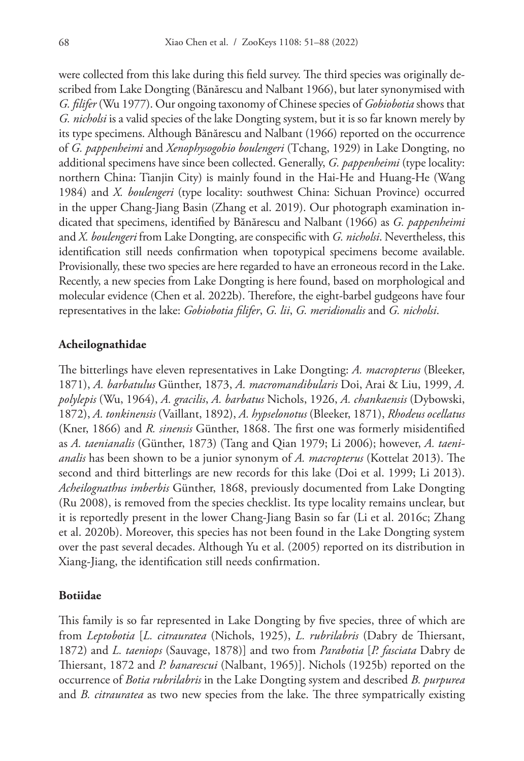were collected from this lake during this field survey. The third species was originally described from Lake Dongting (Bănărescu and Nalbant 1966), but later synonymised with *G. filifer* (Wu 1977). Our ongoing taxonomy of Chinese species of *Gobiobotia* shows that *G. nicholsi* is a valid species of the lake Dongting system, but it is so far known merely by its type specimens. Although Bănărescu and Nalbant (1966) reported on the occurrence of *G. pappenheimi* and *Xenophysogobio boulengeri* (Tchang, 1929) in Lake Dongting, no additional specimens have since been collected. Generally, *G. pappenheimi* (type locality: northern China: Tianjin City) is mainly found in the Hai-He and Huang-He (Wang 1984) and *X. boulengeri* (type locality: southwest China: Sichuan Province) occurred in the upper Chang-Jiang Basin (Zhang et al. 2019). Our photograph examination indicated that specimens, identified by Bănărescu and Nalbant (1966) as *G. pappenheimi* and *X. boulengeri* from Lake Dongting, are conspecific with *G. nicholsi*. Nevertheless, this identification still needs confirmation when topotypical specimens become available. Provisionally, these two species are here regarded to have an erroneous record in the Lake. Recently, a new species from Lake Dongting is here found, based on morphological and molecular evidence (Chen et al. 2022b). Therefore, the eight-barbel gudgeons have four representatives in the lake: *Gobiobotia filifer*, *G. lii*, *G. meridionalis* and *G. nicholsi*.

#### **Acheilognathidae**

The bitterlings have eleven representatives in Lake Dongting: *A. macropterus* (Bleeker, 1871), *A. barbatulus* Günther, 1873, *A. macromandibularis* Doi, Arai & Liu, 1999, *A. polylepis* (Wu, 1964), *A. gracilis*, *A. barbatus* Nichols, 1926, *A. chankaensis* (Dybowski, 1872), *A. tonkinensis* (Vaillant, 1892), *A. hypselonotus* (Bleeker, 1871), *Rhodeus ocellatus* (Kner, 1866) and *R. sinensis* Günther, 1868. The first one was formerly misidentified as *A. taenianalis* (Günther, 1873) (Tang and Qian 1979; Li 2006); however, *A. taenianalis* has been shown to be a junior synonym of *A. macropterus* (Kottelat 2013). The second and third bitterlings are new records for this lake (Doi et al. 1999; Li 2013). *Acheilognathus imberbis* Günther, 1868, previously documented from Lake Dongting (Ru 2008), is removed from the species checklist. Its type locality remains unclear, but it is reportedly present in the lower Chang-Jiang Basin so far (Li et al. 2016c; Zhang et al. 2020b). Moreover, this species has not been found in the Lake Dongting system over the past several decades. Although Yu et al. (2005) reported on its distribution in Xiang-Jiang, the identification still needs confirmation.

#### **Botiidae**

This family is so far represented in Lake Dongting by five species, three of which are from *Leptobotia* [*L. citrauratea* (Nichols, 1925), *L. rubrilabris* (Dabry de Thiersant, 1872) and *L. taeniops* (Sauvage, 1878)] and two from *Parabotia* [*P. fasciata* Dabry de Thiersant, 1872 and *P. banarescui* (Nalbant, 1965)]. Nichols (1925b) reported on the occurrence of *Botia rubrilabris* in the Lake Dongting system and described *B. purpurea* and *B. citrauratea* as two new species from the lake. The three sympatrically existing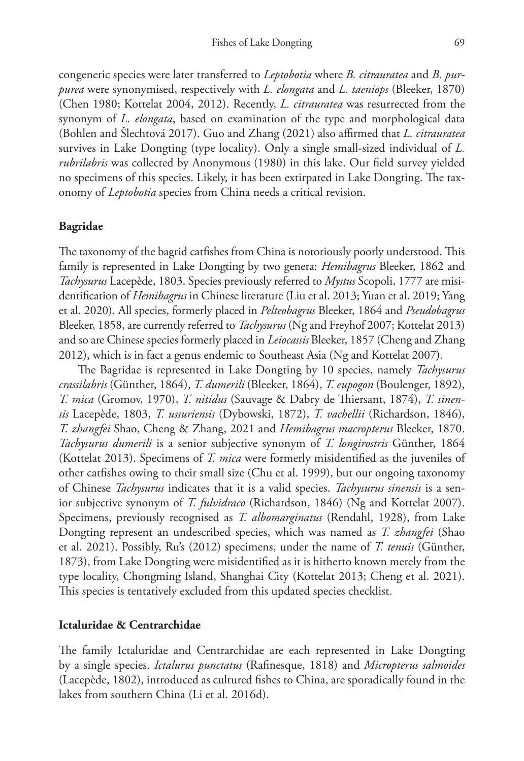congeneric species were later transferred to *Leptobotia* where *B. citrauratea* and *B. purpurea* were synonymised, respectively with *L. elongata* and *L. taeniops* (Bleeker, 1870) (Chen 1980; Kottelat 2004, 2012). Recently, *L. citrauratea* was resurrected from the synonym of *L. elongata*, based on examination of the type and morphological data (Bohlen and Šlechtová 2017). Guo and Zhang (2021) also affirmed that *L. citrauratea* survives in Lake Dongting (type locality). Only a single small-sized individual of *L. rubrilabris* was collected by Anonymous (1980) in this lake. Our field survey yielded no specimens of this species. Likely, it has been extirpated in Lake Dongting. The taxonomy of *Leptobotia* species from China needs a critical revision.

## **Bagridae**

The taxonomy of the bagrid catfishes from China is notoriously poorly understood. This family is represented in Lake Dongting by two genera: *Hemibagrus* Bleeker, 1862 and *Tachysurus* Lacepède, 1803. Species previously referred to *Mystus* Scopoli, 1777 are misidentification of *Hemibagrus* in Chinese literature (Liu et al. 2013; Yuan et al. 2019; Yang et al. 2020). All species, formerly placed in *Pelteobagrus* Bleeker, 1864 and *Pseudobagrus* Bleeker, 1858, are currently referred to *Tachysurus* (Ng and Freyhof 2007; Kottelat 2013) and so are Chinese species formerly placed in *Leiocassis* Bleeker, 1857 (Cheng and Zhang 2012), which is in fact a genus endemic to Southeast Asia (Ng and Kottelat 2007).

The Bagridae is represented in Lake Dongting by 10 species, namely *Tachysurus crassilabris* (Günther, 1864), *T. dumerili* (Bleeker, 1864), *T. eupogon* (Boulenger, 1892), *T. mica* (Gromov, 1970), *T. nitidus* (Sauvage & Dabry de Thiersant, 1874), *T. sinensis* Lacepède, 1803, *T. ussuriensis* (Dybowski, 1872), *T. vachellii* (Richardson, 1846), *T. zhangfei* Shao, Cheng & Zhang, 2021 and *Hemibagrus macropterus* Bleeker, 1870. *Tachysurus dumerili* is a senior subjective synonym of *T. longirostris* Günther, 1864 (Kottelat 2013). Specimens of *T. mica* were formerly misidentified as the juveniles of other catfishes owing to their small size (Chu et al. 1999), but our ongoing taxonomy of Chinese *Tachysurus* indicates that it is a valid species. *Tachysurus sinensis* is a senior subjective synonym of *T. fulvidraco* (Richardson, 1846) (Ng and Kottelat 2007). Specimens, previously recognised as *T. albomarginatus* (Rendahl, 1928), from Lake Dongting represent an undescribed species, which was named as *T. zhangfei* (Shao et al. 2021). Possibly, Ru's (2012) specimens, under the name of *T. tenuis* (Günther, 1873), from Lake Dongting were misidentified as it is hitherto known merely from the type locality, Chongming Island, Shanghai City (Kottelat 2013; Cheng et al. 2021). This species is tentatively excluded from this updated species checklist.

#### **Ictaluridae & Centrarchidae**

The family Ictaluridae and Centrarchidae are each represented in Lake Dongting by a single species. *Ictalurus punctatus* (Rafinesque, 1818) and *Micropterus salmoides* (Lacepède, 1802), introduced as cultured fishes to China, are sporadically found in the lakes from southern China (Li et al. 2016d).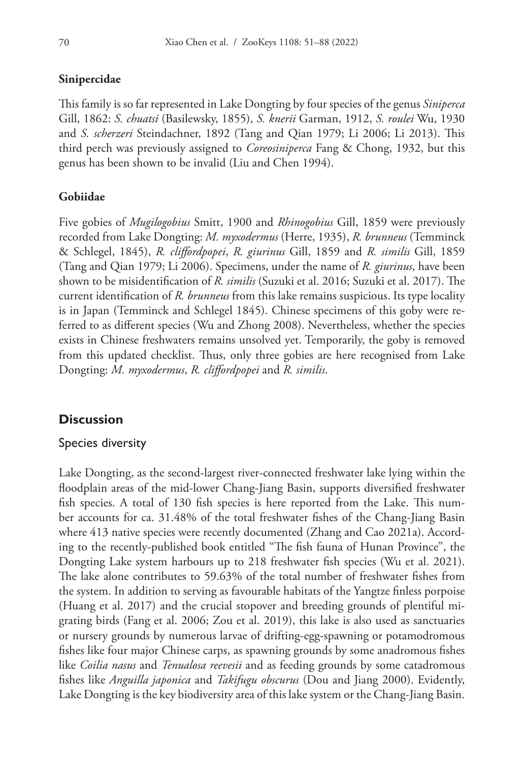# **Sinipercidae**

This family is so far represented in Lake Dongting by four species of the genus *Siniperca* Gill, 1862: *S. chuatsi* (Basilewsky, 1855), *S. knerii* Garman, 1912, *S. roulei* Wu, 1930 and *S. scherzeri* Steindachner, 1892 (Tang and Qian 1979; Li 2006; Li 2013). This third perch was previously assigned to *Coreosiniperca* Fang & Chong, 1932, but this genus has been shown to be invalid (Liu and Chen 1994).

# **Gobiidae**

Five gobies of *Mugilogobius* Smitt, 1900 and *Rhinogobius* Gill, 1859 were previously recorded from Lake Dongting: *M. myxodermus* (Herre, 1935), *R. brunneus* (Temminck & Schlegel, 1845), *R. cliffordpopei*, *R. giurinus* Gill, 1859 and *R. similis* Gill, 1859 (Tang and Qian 1979; Li 2006). Specimens, under the name of *R. giurinus*, have been shown to be misidentification of *R. similis* (Suzuki et al. 2016; Suzuki et al. 2017). The current identification of *R. brunneus* from this lake remains suspicious. Its type locality is in Japan (Temminck and Schlegel 1845). Chinese specimens of this goby were referred to as different species (Wu and Zhong 2008). Nevertheless, whether the species exists in Chinese freshwaters remains unsolved yet. Temporarily, the goby is removed from this updated checklist. Thus, only three gobies are here recognised from Lake Dongting: *M. myxodermus*, *R. cliffordpopei* and *R. similis*.

# **Discussion**

## Species diversity

Lake Dongting, as the second-largest river-connected freshwater lake lying within the floodplain areas of the mid-lower Chang-Jiang Basin, supports diversified freshwater fish species. A total of 130 fish species is here reported from the Lake. This number accounts for ca. 31.48% of the total freshwater fishes of the Chang-Jiang Basin where 413 native species were recently documented (Zhang and Cao 2021a). According to the recently-published book entitled "The fish fauna of Hunan Province", the Dongting Lake system harbours up to 218 freshwater fish species (Wu et al. 2021). The lake alone contributes to 59.63% of the total number of freshwater fishes from the system. In addition to serving as favourable habitats of the Yangtze finless porpoise (Huang et al. 2017) and the crucial stopover and breeding grounds of plentiful migrating birds (Fang et al. 2006; Zou et al. 2019), this lake is also used as sanctuaries or nursery grounds by numerous larvae of drifting-egg-spawning or potamodromous fishes like four major Chinese carps, as spawning grounds by some anadromous fishes like *Coilia nasus* and *Tenualosa reevesii* and as feeding grounds by some catadromous fishes like *Anguilla japonica* and *Takifugu obscurus* (Dou and Jiang 2000). Evidently, Lake Dongting is the key biodiversity area of this lake system or the Chang-Jiang Basin.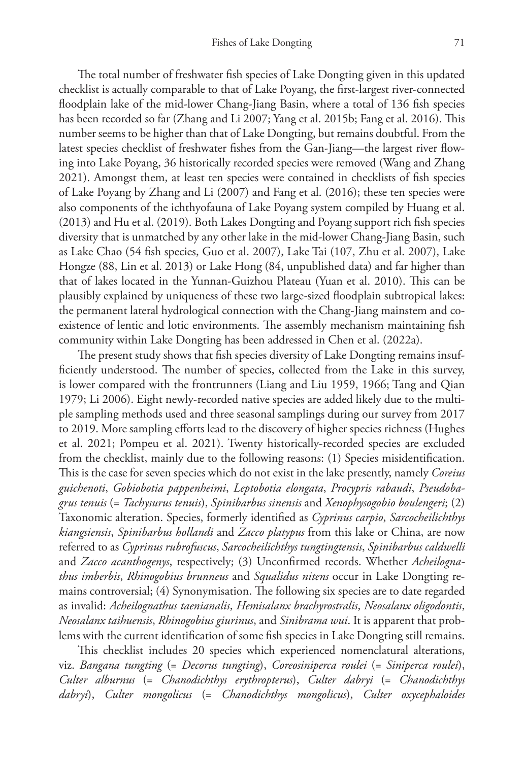The total number of freshwater fish species of Lake Dongting given in this updated checklist is actually comparable to that of Lake Poyang, the first-largest river-connected floodplain lake of the mid-lower Chang-Jiang Basin, where a total of 136 fish species has been recorded so far (Zhang and Li 2007; Yang et al. 2015b; Fang et al. 2016). This number seems to be higher than that of Lake Dongting, but remains doubtful. From the latest species checklist of freshwater fishes from the Gan-Jiang—the largest river flowing into Lake Poyang, 36 historically recorded species were removed (Wang and Zhang 2021). Amongst them, at least ten species were contained in checklists of fish species of Lake Poyang by Zhang and Li (2007) and Fang et al. (2016); these ten species were also components of the ichthyofauna of Lake Poyang system compiled by Huang et al. (2013) and Hu et al. (2019). Both Lakes Dongting and Poyang support rich fish species diversity that is unmatched by any other lake in the mid-lower Chang-Jiang Basin, such as Lake Chao (54 fish species, Guo et al. 2007), Lake Tai (107, Zhu et al. 2007), Lake Hongze (88, Lin et al. 2013) or Lake Hong (84, unpublished data) and far higher than that of lakes located in the Yunnan-Guizhou Plateau (Yuan et al. 2010). This can be plausibly explained by uniqueness of these two large-sized floodplain subtropical lakes: the permanent lateral hydrological connection with the Chang-Jiang mainstem and coexistence of lentic and lotic environments. The assembly mechanism maintaining fish community within Lake Dongting has been addressed in Chen et al. (2022a).

The present study shows that fish species diversity of Lake Dongting remains insufficiently understood. The number of species, collected from the Lake in this survey, is lower compared with the frontrunners (Liang and Liu 1959, 1966; Tang and Qian 1979; Li 2006). Eight newly-recorded native species are added likely due to the multiple sampling methods used and three seasonal samplings during our survey from 2017 to 2019. More sampling efforts lead to the discovery of higher species richness (Hughes et al. 2021; Pompeu et al. 2021). Twenty historically-recorded species are excluded from the checklist, mainly due to the following reasons: (1) Species misidentification. This is the case for seven species which do not exist in the lake presently, namely *Coreius guichenoti*, *Gobiobotia pappenheimi*, *Leptobotia elongata*, *Procypris rabaudi*, *Pseudobagrus tenuis* (= *Tachysurus tenuis*), *Spinibarbus sinensis* and *Xenophysogobio boulengeri*; (2) Taxonomic alteration. Species, formerly identified as *Cyprinus carpio*, *Sarcocheilichthys kiangsiensis*, *Spinibarbus hollandi* and *Zacco platypus* from this lake or China, are now referred to as *Cyprinus rubrofuscus*, *Sarcocheilichthys tungtingtensis*, *Spinibarbus caldwelli* and *Zacco acanthogenys*, respectively; (3) Unconfirmed records. Whether *Acheilognathus imberbis*, *Rhinogobius brunneus* and *Squalidus nitens* occur in Lake Dongting remains controversial; (4) Synonymisation. The following six species are to date regarded as invalid: *Acheilognathus taenianalis*, *Hemisalanx brachyrostralis*, *Neosalanx oligodontis*, *Neosalanx taihuensis*, *Rhinogobius giurinus*, and *Sinibrama wui*. It is apparent that problems with the current identification of some fish species in Lake Dongting still remains.

This checklist includes 20 species which experienced nomenclatural alterations, viz. *Bangana tungting* (= *Decorus tungting*), *Coreosiniperca roulei* (= *Siniperca roulei*), *Culter alburnus* (= *Chanodichthys erythropterus*), *Culter dabryi* (= *Chanodichthys dabryi*), *Culter mongolicus* (= *Chanodichthys mongolicus*), *Culter oxycephaloides*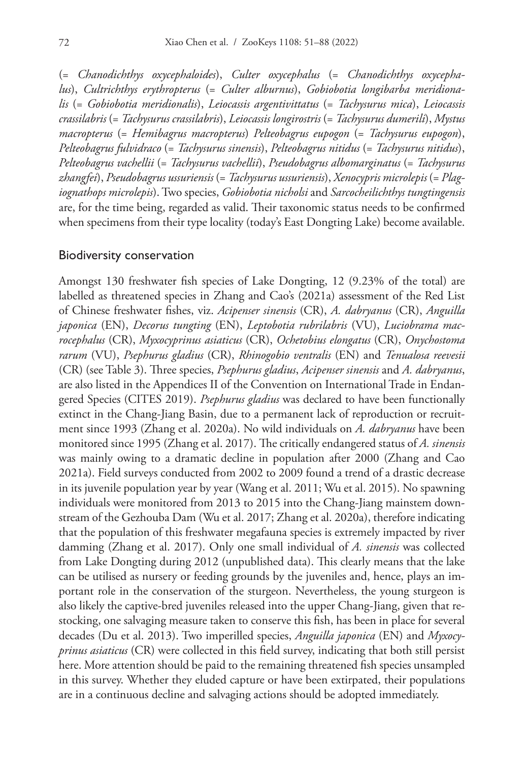(= *Chanodichthys oxycephaloides*), *Culter oxycephalus* (= *Chanodichthys oxycephalus*), *Cultrichthys erythropterus* (= *Culter alburnus*), *Gobiobotia longibarba meridionalis* (= *Gobiobotia meridionalis*), *Leiocassis argentivittatus* (= *Tachysurus mica*), *Leiocassis crassilabris* (= *Tachysurus crassilabris*), *Leiocassis longirostris* (= *Tachysurus dumerili*), *Mystus macropterus* (= *Hemibagrus macropterus*) *Pelteobagrus eupogon* (= *Tachysurus eupogon*), *Pelteobagrus fulvidraco* (= *Tachysurus sinensis*), *Pelteobagrus nitidus* (= *Tachysurus nitidus*), *Pelteobagrus vachellii* (= *Tachysurus vachellii*), *Pseudobagrus albomarginatus* (= *Tachysurus zhangfei*), *Pseudobagrus ussuriensis* (= *Tachysurus ussuriensis*), *Xenocypris microlepis* (= *Plagiognathops microlepis*). Two species, *Gobiobotia nicholsi* and *Sarcocheilichthys tungtingensis* are, for the time being, regarded as valid. Their taxonomic status needs to be confirmed when specimens from their type locality (today's East Dongting Lake) become available.

#### Biodiversity conservation

Amongst 130 freshwater fish species of Lake Dongting, 12 (9.23% of the total) are labelled as threatened species in Zhang and Cao's (2021a) assessment of the Red List of Chinese freshwater fishes, viz. *Acipenser sinensis* (CR), *A. dabryanus* (CR), *Anguilla japonica* (EN), *Decorus tungting* (EN), *Leptobotia rubrilabris* (VU), *Luciobrama macrocephalus* (CR), *Myxocyprinus asiaticus* (CR), *Ochetobius elongatus* (CR), *Onychostoma rarum* (VU), *Psephurus gladius* (CR), *Rhinogobio ventralis* (EN) and *Tenualosa reevesii* (CR) (see Table 3). Three species, *Psephurus gladius*, *Acipenser sinensis* and *A. dabryanus*, are also listed in the Appendices II of the Convention on International Trade in Endangered Species (CITES 2019). *Psephurus gladius* was declared to have been functionally extinct in the Chang-Jiang Basin, due to a permanent lack of reproduction or recruitment since 1993 (Zhang et al. 2020a). No wild individuals on *A. dabryanus* have been monitored since 1995 (Zhang et al. 2017). The critically endangered status of *A. sinensis* was mainly owing to a dramatic decline in population after 2000 (Zhang and Cao 2021a). Field surveys conducted from 2002 to 2009 found a trend of a drastic decrease in its juvenile population year by year (Wang et al. 2011; Wu et al. 2015). No spawning individuals were monitored from 2013 to 2015 into the Chang-Jiang mainstem downstream of the Gezhouba Dam (Wu et al. 2017; Zhang et al. 2020a), therefore indicating that the population of this freshwater megafauna species is extremely impacted by river damming (Zhang et al. 2017). Only one small individual of *A. sinensis* was collected from Lake Dongting during 2012 (unpublished data). This clearly means that the lake can be utilised as nursery or feeding grounds by the juveniles and, hence, plays an important role in the conservation of the sturgeon. Nevertheless, the young sturgeon is also likely the captive-bred juveniles released into the upper Chang-Jiang, given that restocking, one salvaging measure taken to conserve this fish, has been in place for several decades (Du et al. 2013). Two imperilled species, *Anguilla japonica* (EN) and *Myxocyprinus asiaticus* (CR) were collected in this field survey, indicating that both still persist here. More attention should be paid to the remaining threatened fish species unsampled in this survey. Whether they eluded capture or have been extirpated, their populations are in a continuous decline and salvaging actions should be adopted immediately.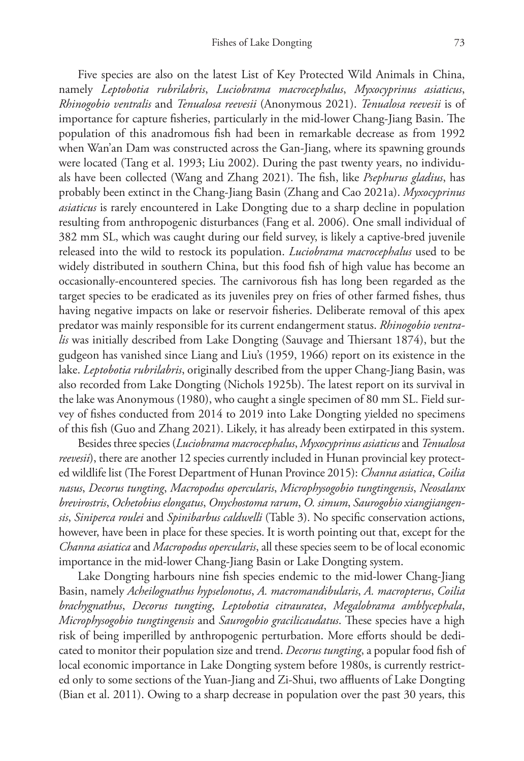Five species are also on the latest List of Key Protected Wild Animals in China, namely *Leptobotia rubrilabris*, *Luciobrama macrocephalus*, *Myxocyprinus asiaticus*, *Rhinogobio ventralis* and *Tenualosa reevesii* (Anonymous 2021). *Tenualosa reevesii* is of importance for capture fisheries, particularly in the mid-lower Chang-Jiang Basin. The population of this anadromous fish had been in remarkable decrease as from 1992 when Wan'an Dam was constructed across the Gan-Jiang, where its spawning grounds were located (Tang et al. 1993; Liu 2002). During the past twenty years, no individuals have been collected (Wang and Zhang 2021). The fish, like *Psephurus gladius*, has probably been extinct in the Chang-Jiang Basin (Zhang and Cao 2021a). *Myxocyprinus asiaticus* is rarely encountered in Lake Dongting due to a sharp decline in population resulting from anthropogenic disturbances (Fang et al. 2006). One small individual of 382 mm SL, which was caught during our field survey, is likely a captive-bred juvenile released into the wild to restock its population. *Luciobrama macrocephalus* used to be widely distributed in southern China, but this food fish of high value has become an occasionally-encountered species. The carnivorous fish has long been regarded as the target species to be eradicated as its juveniles prey on fries of other farmed fishes, thus having negative impacts on lake or reservoir fisheries. Deliberate removal of this apex predator was mainly responsible for its current endangerment status. *Rhinogobio ventralis* was initially described from Lake Dongting (Sauvage and Thiersant 1874), but the gudgeon has vanished since Liang and Liu's (1959, 1966) report on its existence in the lake. *Leptobotia rubrilabris*, originally described from the upper Chang-Jiang Basin, was also recorded from Lake Dongting (Nichols 1925b). The latest report on its survival in the lake was Anonymous (1980), who caught a single specimen of 80 mm SL. Field survey of fishes conducted from 2014 to 2019 into Lake Dongting yielded no specimens of this fish (Guo and Zhang 2021). Likely, it has already been extirpated in this system.

Besides three species (*Luciobrama macrocephalus*, *Myxocyprinus asiaticus* and *Tenualosa reevesii*), there are another 12 species currently included in Hunan provincial key protected wildlife list (The Forest Department of Hunan Province 2015): *Channa asiatica*, *Coilia nasus*, *Decorus tungting*, *Macropodus opercularis*, *Microphysogobio tungtingensis*, *Neosalanx brevirostris*, *Ochetobius elongatus*, *Onychostoma rarum*, *O. simum*, *Saurogobio xiangjiangensis*, *Siniperca roulei* and *Spinibarbus caldwelli* (Table 3). No specific conservation actions, however, have been in place for these species. It is worth pointing out that, except for the *Channa asiatica* and *Macropodus opercularis*, all these species seem to be of local economic importance in the mid-lower Chang-Jiang Basin or Lake Dongting system.

Lake Dongting harbours nine fish species endemic to the mid-lower Chang-Jiang Basin, namely *Acheilognathus hypselonotus*, *A. macromandibularis*, *A. macropterus*, *Coilia brachygnathus*, *Decorus tungting*, *Leptobotia citrauratea*, *Megalobrama amblycephala*, *Microphysogobio tungtingensis* and *Saurogobio gracilicaudatus*. These species have a high risk of being imperilled by anthropogenic perturbation. More efforts should be dedicated to monitor their population size and trend. *Decorus tungting*, a popular food fish of local economic importance in Lake Dongting system before 1980s, is currently restricted only to some sections of the Yuan-Jiang and Zi-Shui, two affluents of Lake Dongting (Bian et al. 2011). Owing to a sharp decrease in population over the past 30 years, this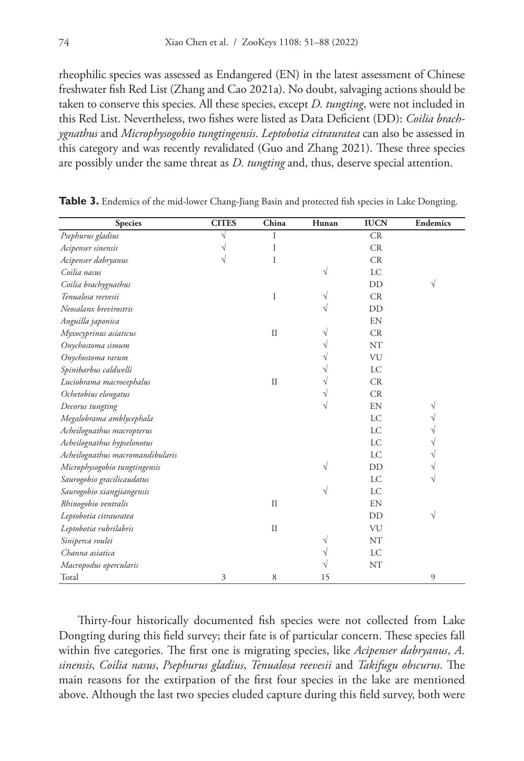rheophilic species was assessed as Endangered (EN) in the latest assessment of Chinese freshwater fish Red List (Zhang and Cao 2021a). No doubt, salvaging actions should be taken to conserve this species. All these species, except *D. tungting*, were not included in this Red List. Nevertheless, two fishes were listed as Data Deficient (DD): *Coilia brachygnathus* and *Microphysogobio tungtingensis*. *Leptobotia citrauratea* can also be assessed in this category and was recently revalidated (Guo and Zhang 2021). These three species are possibly under the same threat as *D. tungting* and, thus, deserve special attention.

| <b>Species</b>                   | <b>CITES</b> | China         | Hunan | <b>IUCN</b> | <b>Endemics</b> |
|----------------------------------|--------------|---------------|-------|-------------|-----------------|
| Psephurus gladius                | V            | T             |       | CR          |                 |
| Acipenser sinensis               | V            | I             |       | CR          |                 |
| Acipenser dabryanus              | V            | I             |       | CR          |                 |
| Coilia nasus                     |              |               | V     | <b>LC</b>   |                 |
| Coilia brachygnathus             |              |               |       | DD          | V               |
| Tenualosa reevesii               |              | I             |       | CR          |                 |
| Neosalanx brevirostris           |              |               |       | DD          |                 |
| Anguilla japonica                |              |               |       | EN          |                 |
| Myxocyprinus asiaticus           |              | $\mathcal{I}$ |       | CR          |                 |
| Onychostoma simum                |              |               |       | NT          |                 |
| Onychostoma rarum                |              |               |       | VU          |                 |
| Spinibarbus caldwelli            |              |               |       | LC          |                 |
| Luciobrama macrocephalus         |              | $\mathcal{I}$ |       | CR          |                 |
| Ochetobius elongatus             |              |               |       | CR          |                 |
| Decorus tungting                 |              |               |       | EN          | V               |
| Megalobrama amblycephala         |              |               |       | LC          |                 |
| Acheilognathus macropterus       |              |               |       | LC          |                 |
| Acheilognathus hypselonotus      |              |               |       | LC          |                 |
| Acheilognathus macromandibularis |              |               |       | LC          |                 |
| Microphysogobio tungtingensis    |              |               | V     | DD          | V               |
| Saurogobio gracilicaudatus       |              |               |       | <b>LC</b>   |                 |
| Saurogobio xiangjiangensis       |              |               | V     | LC          |                 |
| Rhinogobio ventralis             |              | $\mathcal{I}$ |       | EN          |                 |
| Leptobotia citrauratea           |              |               |       | DD          | V               |
| Leptobotia rubrilabris           |              | $\mathcal{I}$ |       | VU          |                 |
| Siniperca roulei                 |              |               | V     | NT          |                 |
| Channa asiatica                  |              |               | V     | LC          |                 |
| Macropodus opercularis           |              |               | ν     | NT          |                 |
| Total                            | 3            | 8             | 15    |             | 9               |

**Table 3.** Endemics of the mid-lower Chang-Jiang Basin and protected fish species in Lake Dongting.

Thirty-four historically documented fish species were not collected from Lake Dongting during this field survey; their fate is of particular concern. These species fall within five categories. The first one is migrating species, like *Acipenser dabryanus*, *A. sinensis*, *Coilia nasus*, *Psephurus gladius*, *Tenualosa reevesii* and *Takifugu obscurus*. The main reasons for the extirpation of the first four species in the lake are mentioned above. Although the last two species eluded capture during this field survey, both were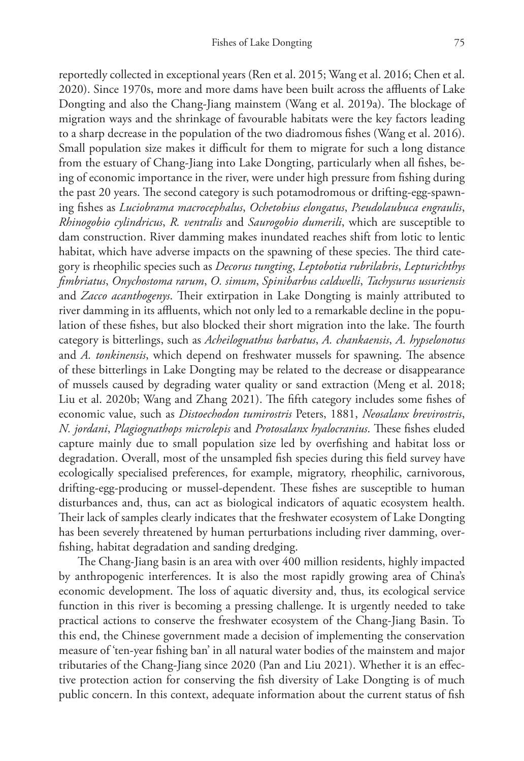reportedly collected in exceptional years (Ren et al. 2015; Wang et al. 2016; Chen et al. 2020). Since 1970s, more and more dams have been built across the affluents of Lake Dongting and also the Chang-Jiang mainstem (Wang et al. 2019a). The blockage of migration ways and the shrinkage of favourable habitats were the key factors leading to a sharp decrease in the population of the two diadromous fishes (Wang et al. 2016). Small population size makes it difficult for them to migrate for such a long distance from the estuary of Chang-Jiang into Lake Dongting, particularly when all fishes, being of economic importance in the river, were under high pressure from fishing during the past 20 years. The second category is such potamodromous or drifting-egg-spawning fishes as *Luciobrama macrocephalus*, *Ochetobius elongatus*, *Pseudolaubuca engraulis*, *Rhinogobio cylindricus*, *R. ventralis* and *Saurogobio dumerili*, which are susceptible to dam construction. River damming makes inundated reaches shift from lotic to lentic habitat, which have adverse impacts on the spawning of these species. The third category is rheophilic species such as *Decorus tungting*, *Leptobotia rubrilabris*, *Lepturichthys fimbriatus*, *Onychostoma rarum*, *O. simum*, *Spinibarbus caldwelli*, *Tachysurus ussuriensis* and *Zacco acanthogenys*. Their extirpation in Lake Dongting is mainly attributed to river damming in its affluents, which not only led to a remarkable decline in the population of these fishes, but also blocked their short migration into the lake. The fourth category is bitterlings, such as *Acheilognathus barbatus*, *A. chankaensis*, *A. hypselonotus* and *A. tonkinensis*, which depend on freshwater mussels for spawning. The absence of these bitterlings in Lake Dongting may be related to the decrease or disappearance of mussels caused by degrading water quality or sand extraction (Meng et al. 2018; Liu et al. 2020b; Wang and Zhang 2021). The fifth category includes some fishes of economic value, such as *Distoechodon tumirostris* Peters, 1881, *Neosalanx brevirostris*, *N. jordani*, *Plagiognathops microlepis* and *Protosalanx hyalocranius*. These fishes eluded capture mainly due to small population size led by overfishing and habitat loss or degradation. Overall, most of the unsampled fish species during this field survey have ecologically specialised preferences, for example, migratory, rheophilic, carnivorous, drifting-egg-producing or mussel-dependent. These fishes are susceptible to human disturbances and, thus, can act as biological indicators of aquatic ecosystem health. Their lack of samples clearly indicates that the freshwater ecosystem of Lake Dongting has been severely threatened by human perturbations including river damming, overfishing, habitat degradation and sanding dredging.

The Chang-Jiang basin is an area with over 400 million residents, highly impacted by anthropogenic interferences. It is also the most rapidly growing area of China's economic development. The loss of aquatic diversity and, thus, its ecological service function in this river is becoming a pressing challenge. It is urgently needed to take practical actions to conserve the freshwater ecosystem of the Chang-Jiang Basin. To this end, the Chinese government made a decision of implementing the conservation measure of 'ten-year fishing ban' in all natural water bodies of the mainstem and major tributaries of the Chang-Jiang since 2020 (Pan and Liu 2021). Whether it is an effective protection action for conserving the fish diversity of Lake Dongting is of much public concern. In this context, adequate information about the current status of fish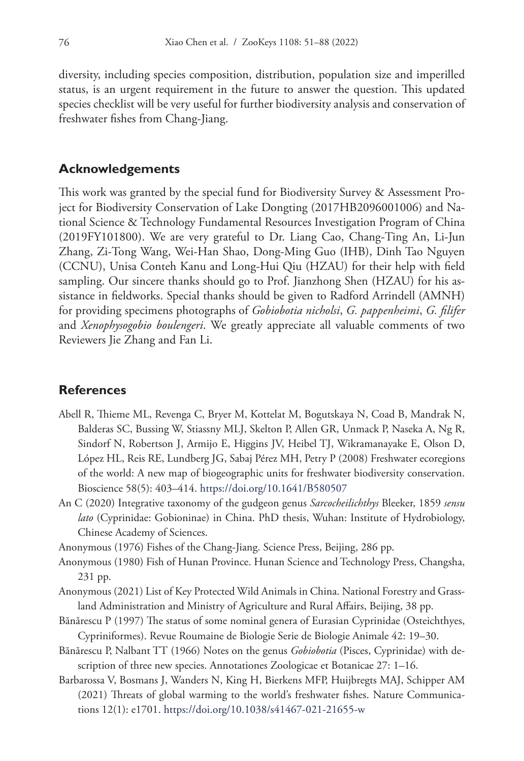diversity, including species composition, distribution, population size and imperilled status, is an urgent requirement in the future to answer the question. This updated species checklist will be very useful for further biodiversity analysis and conservation of freshwater fishes from Chang-Jiang.

## **Acknowledgements**

This work was granted by the special fund for Biodiversity Survey & Assessment Project for Biodiversity Conservation of Lake Dongting (2017HB2096001006) and National Science & Technology Fundamental Resources Investigation Program of China (2019FY101800). We are very grateful to Dr. Liang Cao, Chang-Ting An, Li-Jun Zhang, Zi-Tong Wang, Wei-Han Shao, Dong-Ming Guo (IHB), Dinh Tao Nguyen (CCNU), Unisa Conteh Kanu and Long-Hui Qiu (HZAU) for their help with field sampling. Our sincere thanks should go to Prof. Jianzhong Shen (HZAU) for his assistance in fieldworks. Special thanks should be given to Radford Arrindell (AMNH) for providing specimens photographs of *Gobiobotia nicholsi*, *G. pappenheimi*, *G. filifer* and *Xenophysogobio boulengeri*. We greatly appreciate all valuable comments of two Reviewers Jie Zhang and Fan Li.

# **References**

- Abell R, Thieme ML, Revenga C, Bryer M, Kottelat M, Bogutskaya N, Coad B, Mandrak N, Balderas SC, Bussing W, Stiassny MLJ, Skelton P, Allen GR, Unmack P, Naseka A, Ng R, Sindorf N, Robertson J, Armijo E, Higgins JV, Heibel TJ, Wikramanayake E, Olson D, López HL, Reis RE, Lundberg JG, Sabaj Pérez MH, Petry P (2008) Freshwater ecoregions of the world: A new map of biogeographic units for freshwater biodiversity conservation. Bioscience 58(5): 403–414. <https://doi.org/10.1641/B580507>
- An C (2020) Integrative taxonomy of the gudgeon genus *Sarcocheilichthys* Bleeker, 1859 *sensu lato* (Cyprinidae: Gobioninae) in China. PhD thesis, Wuhan: Institute of Hydrobiology, Chinese Academy of Sciences.

Anonymous (1976) Fishes of the Chang-Jiang. Science Press, Beijing, 286 pp.

- Anonymous (1980) Fish of Hunan Province. Hunan Science and Technology Press, Changsha, 231 pp.
- Anonymous (2021) List of Key Protected Wild Animals in China. National Forestry and Grassland Administration and Ministry of Agriculture and Rural Affairs, Beijing, 38 pp.
- Bănărescu P (1997) The status of some nominal genera of Eurasian Cyprinidae (Osteichthyes, Cypriniformes). Revue Roumaine de Biologie Serie de Biologie Animale 42: 19–30.
- Bănărescu P, Nalbant TT (1966) Notes on the genus *Gobiobotia* (Pisces, Cyprinidae) with description of three new species. Annotationes Zoologicae et Botanicae 27: 1–16.
- Barbarossa V, Bosmans J, Wanders N, King H, Bierkens MFP, Huijbregts MAJ, Schipper AM (2021) Threats of global warming to the world's freshwater fishes. Nature Communications 12(1): e1701.<https://doi.org/10.1038/s41467-021-21655-w>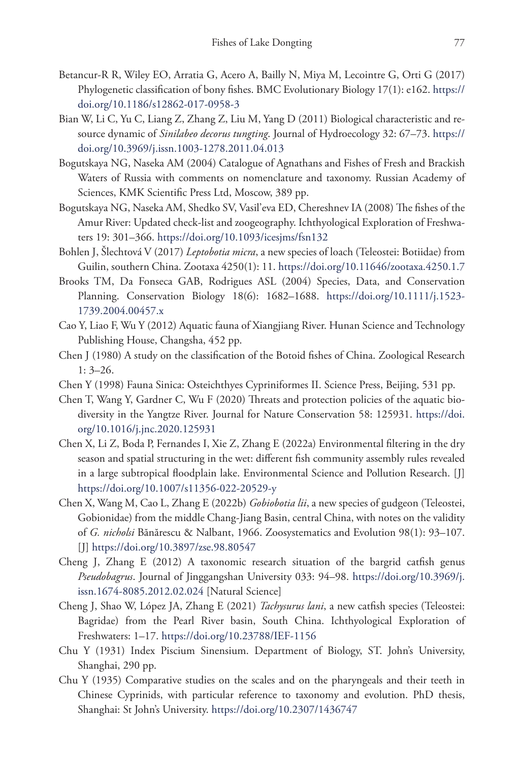- Betancur-R R, Wiley EO, Arratia G, Acero A, Bailly N, Miya M, Lecointre G, Orti G (2017) Phylogenetic classification of bony fishes. BMC Evolutionary Biology 17(1): e162. [https://](https://doi.org/10.1186/s12862-017-0958-3) [doi.org/10.1186/s12862-017-0958-3](https://doi.org/10.1186/s12862-017-0958-3)
- Bian W, Li C, Yu C, Liang Z, Zhang Z, Liu M, Yang D (2011) Biological characteristic and resource dynamic of *Sinilabeo decorus tungting*. Journal of Hydroecology 32: 67–73. [https://](https://doi.org/10.3969/j.issn.1003-1278.2011.04.013) [doi.org/10.3969/j.issn.1003-1278.2011.04.013](https://doi.org/10.3969/j.issn.1003-1278.2011.04.013)
- Bogutskaya NG, Naseka AM (2004) Catalogue of Agnathans and Fishes of Fresh and Brackish Waters of Russia with comments on nomenclature and taxonomy. Russian Academy of Sciences, KMK Scientific Press Ltd, Moscow, 389 pp.
- Bogutskaya NG, Naseka AM, Shedko SV, Vasil'eva ED, Chereshnev IA (2008) The fishes of the Amur River: Updated check-list and zoogeography. Ichthyological Exploration of Freshwaters 19: 301–366. <https://doi.org/10.1093/icesjms/fsn132>
- Bohlen J, Šlechtová V (2017) *Leptobotia micra*, a new species of loach (Teleostei: Botiidae) from Guilin, southern China. Zootaxa 4250(1): 11. <https://doi.org/10.11646/zootaxa.4250.1.7>
- Brooks TM, Da Fonseca GAB, Rodrigues ASL (2004) Species, Data, and Conservation Planning. Conservation Biology 18(6): 1682–1688. [https://doi.org/10.1111/j.1523-](https://doi.org/10.1111/j.1523-1739.2004.00457.x) [1739.2004.00457.x](https://doi.org/10.1111/j.1523-1739.2004.00457.x)
- Cao Y, Liao F, Wu Y (2012) Aquatic fauna of Xiangjiang River. Hunan Science and Technology Publishing House, Changsha, 452 pp.
- Chen J (1980) A study on the classification of the Botoid fishes of China. Zoological Research 1: 3–26.
- Chen Y (1998) Fauna Sinica: Osteichthyes Cypriniformes II. Science Press, Beijing, 531 pp.
- Chen T, Wang Y, Gardner C, Wu F (2020) Threats and protection policies of the aquatic biodiversity in the Yangtze River. Journal for Nature Conservation 58: 125931. [https://doi.](https://doi.org/10.1016/j.jnc.2020.125931) [org/10.1016/j.jnc.2020.125931](https://doi.org/10.1016/j.jnc.2020.125931)
- Chen X, Li Z, Boda P, Fernandes I, Xie Z, Zhang E (2022a) Environmental filtering in the dry season and spatial structuring in the wet: different fish community assembly rules revealed in a large subtropical floodplain lake. Environmental Science and Pollution Research. [J] <https://doi.org/10.1007/s11356-022-20529-y>
- Chen X, Wang M, Cao L, Zhang E (2022b) *Gobiobotia lii*, a new species of gudgeon (Teleostei, Gobionidae) from the middle Chang-Jiang Basin, central China, with notes on the validity of *G. nicholsi* Bănărescu & Nalbant, 1966. Zoosystematics and Evolution 98(1): 93–107. [J]<https://doi.org/10.3897/zse.98.80547>
- Cheng J, Zhang E (2012) A taxonomic research situation of the bargrid catfish genus *Pseudobagrus*. Journal of Jinggangshan University 033: 94–98. [https://doi.org/10.3969/j.](https://doi.org/10.3969/j.issn.1674-8085.2012.02.024) [issn.1674-8085.2012.02.024](https://doi.org/10.3969/j.issn.1674-8085.2012.02.024) [Natural Science]
- Cheng J, Shao W, López JA, Zhang E (2021) *Tachysurus lani*, a new catfish species (Teleostei: Bagridae) from the Pearl River basin, South China. Ichthyological Exploration of Freshwaters: 1–17.<https://doi.org/10.23788/IEF-1156>
- Chu Y (1931) Index Piscium Sinensium. Department of Biology, ST. John's University, Shanghai, 290 pp.
- Chu Y (1935) Comparative studies on the scales and on the pharyngeals and their teeth in Chinese Cyprinids, with particular reference to taxonomy and evolution. PhD thesis, Shanghai: St John's University. <https://doi.org/10.2307/1436747>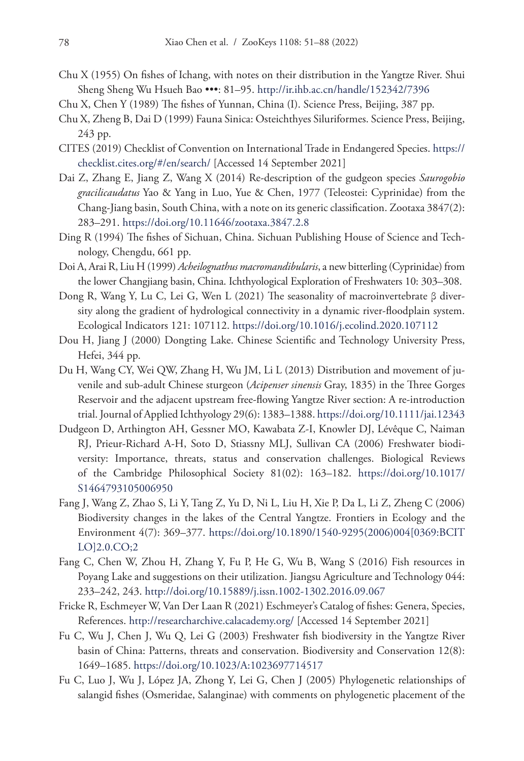- Chu X (1955) On fishes of Ichang, with notes on their distribution in the Yangtze River. Shui Sheng Sheng Wu Hsueh Bao •••: 81–95. <http://ir.ihb.ac.cn/handle/152342/7396>
- Chu X, Chen Y (1989) The fishes of Yunnan, China (I). Science Press, Beijing, 387 pp.
- Chu X, Zheng B, Dai D (1999) Fauna Sinica: Osteichthyes Siluriformes. Science Press, Beijing, 243 pp.
- CITES (2019) Checklist of Convention on International Trade in Endangered Species. [https://](https://checklist.cites.org/#/en/search/) [checklist.cites.org/#/en/search/](https://checklist.cites.org/#/en/search/) [Accessed 14 September 2021]
- Dai Z, Zhang E, Jiang Z, Wang X (2014) Re-description of the gudgeon species *Saurogobio gracilicaudatus* Yao & Yang in Luo, Yue & Chen, 1977 (Teleostei: Cyprinidae) from the Chang-Jiang basin, South China, with a note on its generic classification. Zootaxa 3847(2): 283–291.<https://doi.org/10.11646/zootaxa.3847.2.8>
- Ding R (1994) The fishes of Sichuan, China. Sichuan Publishing House of Science and Technology, Chengdu, 661 pp.
- Doi A, Arai R, Liu H (1999) *Acheilognathus macromandibularis*, a new bitterling (Cyprinidae) from the lower Changjiang basin, China. Ichthyological Exploration of Freshwaters 10: 303–308.
- Dong R, Wang Y, Lu C, Lei G, Wen L (2021) The seasonality of macroinvertebrate β diversity along the gradient of hydrological connectivity in a dynamic river-floodplain system. Ecological Indicators 121: 107112. <https://doi.org/10.1016/j.ecolind.2020.107112>
- Dou H, Jiang J (2000) Dongting Lake. Chinese Scientific and Technology University Press, Hefei, 344 pp.
- Du H, Wang CY, Wei QW, Zhang H, Wu JM, Li L (2013) Distribution and movement of juvenile and sub-adult Chinese sturgeon (*Acipenser sinensis* Gray, 1835) in the Three Gorges Reservoir and the adjacent upstream free-flowing Yangtze River section: A re-introduction trial. Journal of Applied Ichthyology 29(6): 1383–1388.<https://doi.org/10.1111/jai.12343>
- Dudgeon D, Arthington AH, Gessner MO, Kawabata Z-I, Knowler DJ, Lévêque C, Naiman RJ, Prieur-Richard A-H, Soto D, Stiassny MLJ, Sullivan CA (2006) Freshwater biodiversity: Importance, threats, status and conservation challenges. Biological Reviews of the Cambridge Philosophical Society 81(02): 163–182. [https://doi.org/10.1017/](https://doi.org/10.1017/S1464793105006950) [S1464793105006950](https://doi.org/10.1017/S1464793105006950)
- Fang J, Wang Z, Zhao S, Li Y, Tang Z, Yu D, Ni L, Liu H, Xie P, Da L, Li Z, Zheng C (2006) Biodiversity changes in the lakes of the Central Yangtze. Frontiers in Ecology and the Environment 4(7): 369–377. [https://doi.org/10.1890/1540-9295\(2006\)004\[0369:BCIT](https://doi.org/10.1890/1540-9295(2006)004%5B0369:BCITLO%5D2.0.CO;2) [LO\]2.0.CO;2](https://doi.org/10.1890/1540-9295(2006)004%5B0369:BCITLO%5D2.0.CO;2)
- Fang C, Chen W, Zhou H, Zhang Y, Fu P, He G, Wu B, Wang S (2016) Fish resources in Poyang Lake and suggestions on their utilization. Jiangsu Agriculture and Technology 044: 233–242, 243.<http://doi.org/10.15889/j.issn.1002-1302.2016.09.067>
- Fricke R, Eschmeyer W, Van Der Laan R (2021) Eschmeyer's Catalog of fishes: Genera, Species, References.<http://researcharchive.calacademy.org/>[Accessed 14 September 2021]
- Fu C, Wu J, Chen J, Wu Q, Lei G (2003) Freshwater fish biodiversity in the Yangtze River basin of China: Patterns, threats and conservation. Biodiversity and Conservation 12(8): 1649–1685.<https://doi.org/10.1023/A:1023697714517>
- Fu C, Luo J, Wu J, López JA, Zhong Y, Lei G, Chen J (2005) Phylogenetic relationships of salangid fishes (Osmeridae, Salanginae) with comments on phylogenetic placement of the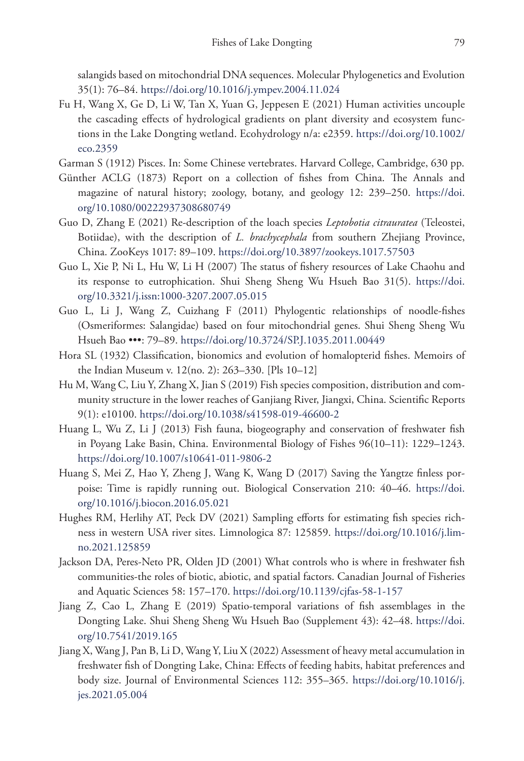salangids based on mitochondrial DNA sequences. Molecular Phylogenetics and Evolution 35(1): 76–84. <https://doi.org/10.1016/j.ympev.2004.11.024>

- Fu H, Wang X, Ge D, Li W, Tan X, Yuan G, Jeppesen E (2021) Human activities uncouple the cascading effects of hydrological gradients on plant diversity and ecosystem functions in the Lake Dongting wetland. Ecohydrology n/a: e2359. [https://doi.org/10.1002/](https://doi.org/10.1002/eco.2359) [eco.2359](https://doi.org/10.1002/eco.2359)
- Garman S (1912) Pisces. In: Some Chinese vertebrates. Harvard College, Cambridge, 630 pp.
- Günther ACLG (1873) Report on a collection of fishes from China. The Annals and magazine of natural history; zoology, botany, and geology 12: 239–250. [https://doi.](https://doi.org/10.1080/00222937308680749) [org/10.1080/00222937308680749](https://doi.org/10.1080/00222937308680749)
- Guo D, Zhang E (2021) Re-description of the loach species *Leptobotia citrauratea* (Teleostei, Botiidae), with the description of *L. brachycephala* from southern Zhejiang Province, China. ZooKeys 1017: 89–109.<https://doi.org/10.3897/zookeys.1017.57503>
- Guo L, Xie P, Ni L, Hu W, Li H (2007) The status of fishery resources of Lake Chaohu and its response to eutrophication. Shui Sheng Sheng Wu Hsueh Bao 31(5). [https://doi.](https://doi.org/10.3321/j.issn:1000-3207.2007.05.015) [org/10.3321/j.issn:1000-3207.2007.05.015](https://doi.org/10.3321/j.issn:1000-3207.2007.05.015)
- Guo L, Li J, Wang Z, Cuizhang F (2011) Phylogentic relationships of noodle-fishes (Osmeriformes: Salangidae) based on four mitochondrial genes. Shui Sheng Sheng Wu Hsueh Bao •••: 79–89.<https://doi.org/10.3724/SP.J.1035.2011.00449>
- Hora SL (1932) Classification, bionomics and evolution of homalopterid fishes. Memoirs of the Indian Museum v. 12(no. 2): 263–330. [Pls 10–12]
- Hu M, Wang C, Liu Y, Zhang X, Jian S (2019) Fish species composition, distribution and community structure in the lower reaches of Ganjiang River, Jiangxi, China. Scientific Reports 9(1): e10100. <https://doi.org/10.1038/s41598-019-46600-2>
- Huang L, Wu Z, Li J (2013) Fish fauna, biogeography and conservation of freshwater fish in Poyang Lake Basin, China. Environmental Biology of Fishes 96(10–11): 1229–1243. <https://doi.org/10.1007/s10641-011-9806-2>
- Huang S, Mei Z, Hao Y, Zheng J, Wang K, Wang D (2017) Saving the Yangtze finless porpoise: Time is rapidly running out. Biological Conservation 210: 40–46. [https://doi.](https://doi.org/10.1016/j.biocon.2016.05.021) [org/10.1016/j.biocon.2016.05.021](https://doi.org/10.1016/j.biocon.2016.05.021)
- Hughes RM, Herlihy AT, Peck DV (2021) Sampling efforts for estimating fish species richness in western USA river sites. Limnologica 87: 125859. [https://doi.org/10.1016/j.lim](https://doi.org/10.1016/j.limno.2021.125859)[no.2021.125859](https://doi.org/10.1016/j.limno.2021.125859)
- Jackson DA, Peres-Neto PR, Olden JD (2001) What controls who is where in freshwater fish communities-the roles of biotic, abiotic, and spatial factors. Canadian Journal of Fisheries and Aquatic Sciences 58: 157–170.<https://doi.org/10.1139/cjfas-58-1-157>
- Jiang Z, Cao L, Zhang E (2019) Spatio-temporal variations of fish assemblages in the Dongting Lake. Shui Sheng Sheng Wu Hsueh Bao (Supplement 43): 42–48. [https://doi.](https://doi.org/10.7541/2019.165) [org/10.7541/2019.165](https://doi.org/10.7541/2019.165)
- Jiang X, Wang J, Pan B, Li D, Wang Y, Liu X (2022) Assessment of heavy metal accumulation in freshwater fish of Dongting Lake, China: Effects of feeding habits, habitat preferences and body size. Journal of Environmental Sciences 112: 355–365. [https://doi.org/10.1016/j.](https://doi.org/10.1016/j.jes.2021.05.004) [jes.2021.05.004](https://doi.org/10.1016/j.jes.2021.05.004)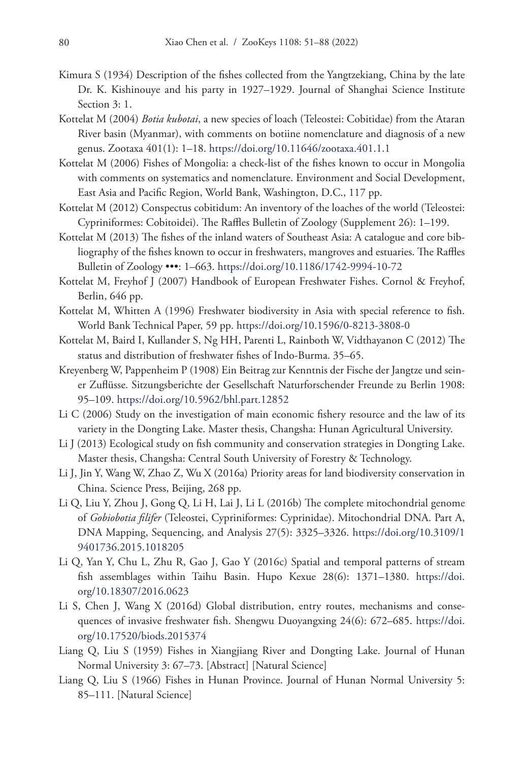- Kimura S (1934) Description of the fishes collected from the Yangtzekiang, China by the late Dr. K. Kishinouye and his party in 1927–1929. Journal of Shanghai Science Institute Section 3: 1.
- Kottelat M (2004) *Botia kubotai*, a new species of loach (Teleostei: Cobitidae) from the Ataran River basin (Myanmar), with comments on botiine nomenclature and diagnosis of a new genus. Zootaxa 401(1): 1–18. <https://doi.org/10.11646/zootaxa.401.1.1>
- Kottelat M (2006) Fishes of Mongolia: a check-list of the fishes known to occur in Mongolia with comments on systematics and nomenclature. Environment and Social Development, East Asia and Pacific Region, World Bank, Washington, D.C., 117 pp.
- Kottelat M (2012) Conspectus cobitidum: An inventory of the loaches of the world (Teleostei: Cypriniformes: Cobitoidei). The Raffles Bulletin of Zoology (Supplement 26): 1–199.
- Kottelat M (2013) The fishes of the inland waters of Southeast Asia: A catalogue and core bibliography of the fishes known to occur in freshwaters, mangroves and estuaries. The Raffles Bulletin of Zoology •••: 1–663.<https://doi.org/10.1186/1742-9994-10-72>
- Kottelat M, Freyhof J (2007) Handbook of European Freshwater Fishes. Cornol & Freyhof, Berlin, 646 pp.
- Kottelat M, Whitten A (1996) Freshwater biodiversity in Asia with special reference to fish. World Bank Technical Paper, 59 pp.<https://doi.org/10.1596/0-8213-3808-0>
- Kottelat M, Baird I, Kullander S, Ng HH, Parenti L, Rainboth W, Vidthayanon C (2012) The status and distribution of freshwater fishes of Indo-Burma. 35–65.
- Kreyenberg W, Pappenheim P (1908) Ein Beitrag zur Kenntnis der Fische der Jangtze und seiner Zuflüsse. Sitzungsberichte der Gesellschaft Naturforschender Freunde zu Berlin 1908: 95–109.<https://doi.org/10.5962/bhl.part.12852>
- Li C (2006) Study on the investigation of main economic fishery resource and the law of its variety in the Dongting Lake. Master thesis, Changsha: Hunan Agricultural University.
- Li J (2013) Ecological study on fish community and conservation strategies in Dongting Lake. Master thesis, Changsha: Central South University of Forestry & Technology.
- Li J, Jin Y, Wang W, Zhao Z, Wu X (2016a) Priority areas for land biodiversity conservation in China. Science Press, Beijing, 268 pp.
- Li Q, Liu Y, Zhou J, Gong Q, Li H, Lai J, Li L (2016b) The complete mitochondrial genome of *Gobiobotia filifer* (Teleostei, Cypriniformes: Cyprinidae). Mitochondrial DNA. Part A, DNA Mapping, Sequencing, and Analysis 27(5): 3325–3326. [https://doi.org/10.3109/1](https://doi.org/10.3109/19401736.2015.1018205) [9401736.2015.1018205](https://doi.org/10.3109/19401736.2015.1018205)
- Li Q, Yan Y, Chu L, Zhu R, Gao J, Gao Y (2016c) Spatial and temporal patterns of stream fish assemblages within Taihu Basin. Hupo Kexue 28(6): 1371–1380. [https://doi.](https://doi.org/10.18307/2016.0623) [org/10.18307/2016.0623](https://doi.org/10.18307/2016.0623)
- Li S, Chen J, Wang X (2016d) Global distribution, entry routes, mechanisms and consequences of invasive freshwater fish. Shengwu Duoyangxing 24(6): 672–685. [https://doi.](https://doi.org/10.17520/biods.2015374) [org/10.17520/biods.2015374](https://doi.org/10.17520/biods.2015374)
- Liang Q, Liu S (1959) Fishes in Xiangjiang River and Dongting Lake. Journal of Hunan Normal University 3: 67–73. [Abstract] [Natural Science]
- Liang Q, Liu S (1966) Fishes in Hunan Province. Journal of Hunan Normal University 5: 85–111. [Natural Science]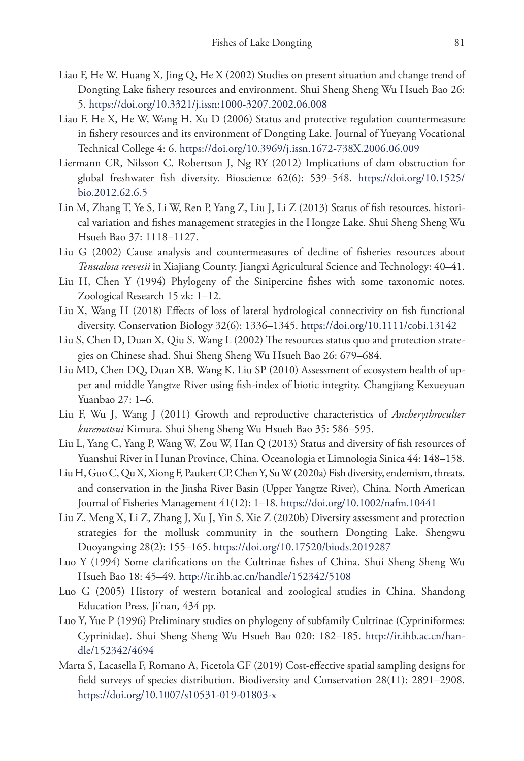- Liao F, He W, Huang X, Jing Q, He X (2002) Studies on present situation and change trend of Dongting Lake fishery resources and environment. Shui Sheng Sheng Wu Hsueh Bao 26: 5.<https://doi.org/10.3321/j.issn:1000-3207.2002.06.008>
- Liao F, He X, He W, Wang H, Xu D (2006) Status and protective regulation countermeasure in fishery resources and its environment of Dongting Lake. Journal of Yueyang Vocational Technical College 4: 6.<https://doi.org/10.3969/j.issn.1672-738X.2006.06.009>
- Liermann CR, Nilsson C, Robertson J, Ng RY (2012) Implications of dam obstruction for global freshwater fish diversity. Bioscience 62(6): 539–548. [https://doi.org/10.1525/](https://doi.org/10.1525/bio.2012.62.6.5) [bio.2012.62.6.5](https://doi.org/10.1525/bio.2012.62.6.5)
- Lin M, Zhang T, Ye S, Li W, Ren P, Yang Z, Liu J, Li Z (2013) Status of fish resources, historical variation and fishes management strategies in the Hongze Lake. Shui Sheng Sheng Wu Hsueh Bao 37: 1118–1127.
- Liu G (2002) Cause analysis and countermeasures of decline of fisheries resources about *Tenualosa reevesii* in Xiajiang County. Jiangxi Agricultural Science and Technology: 40–41.
- Liu H, Chen Y (1994) Phylogeny of the Sinipercine fishes with some taxonomic notes. Zoological Research 15 zk: 1–12.
- Liu X, Wang H (2018) Effects of loss of lateral hydrological connectivity on fish functional diversity. Conservation Biology 32(6): 1336–1345. <https://doi.org/10.1111/cobi.13142>
- Liu S, Chen D, Duan X, Qiu S, Wang L (2002) The resources status quo and protection strategies on Chinese shad. Shui Sheng Sheng Wu Hsueh Bao 26: 679–684.
- Liu MD, Chen DQ, Duan XB, Wang K, Liu SP (2010) Assessment of ecosystem health of upper and middle Yangtze River using fish-index of biotic integrity. Changjiang Kexueyuan Yuanbao 27: 1–6.
- Liu F, Wu J, Wang J (2011) Growth and reproductive characteristics of *Ancherythroculter kurematsui* Kimura. Shui Sheng Sheng Wu Hsueh Bao 35: 586–595.
- Liu L, Yang C, Yang P, Wang W, Zou W, Han Q (2013) Status and diversity of fish resources of Yuanshui River in Hunan Province, China. Oceanologia et Limnologia Sinica 44: 148–158.
- Liu H, Guo C, Qu X, Xiong F, Paukert CP, Chen Y, Su W (2020a) Fish diversity, endemism, threats, and conservation in the Jinsha River Basin (Upper Yangtze River), China. North American Journal of Fisheries Management 41(12): 1–18. <https://doi.org/10.1002/nafm.10441>
- Liu Z, Meng X, Li Z, Zhang J, Xu J, Yin S, Xie Z (2020b) Diversity assessment and protection strategies for the mollusk community in the southern Dongting Lake. Shengwu Duoyangxing 28(2): 155–165. <https://doi.org/10.17520/biods.2019287>
- Luo Y (1994) Some clarifications on the Cultrinae fishes of China. Shui Sheng Sheng Wu Hsueh Bao 18: 45–49. <http://ir.ihb.ac.cn/handle/152342/5108>
- Luo G (2005) History of western botanical and zoological studies in China. Shandong Education Press, Ji'nan, 434 pp.
- Luo Y, Yue P (1996) Preliminary studies on phylogeny of subfamily Cultrinae (Cypriniformes: Cyprinidae). Shui Sheng Sheng Wu Hsueh Bao 020: 182–185. [http://ir.ihb.ac.cn/han](http://ir.ihb.ac.cn/handle/152342/4694)[dle/152342/4694](http://ir.ihb.ac.cn/handle/152342/4694)
- Marta S, Lacasella F, Romano A, Ficetola GF (2019) Cost-effective spatial sampling designs for field surveys of species distribution. Biodiversity and Conservation 28(11): 2891–2908. <https://doi.org/10.1007/s10531-019-01803-x>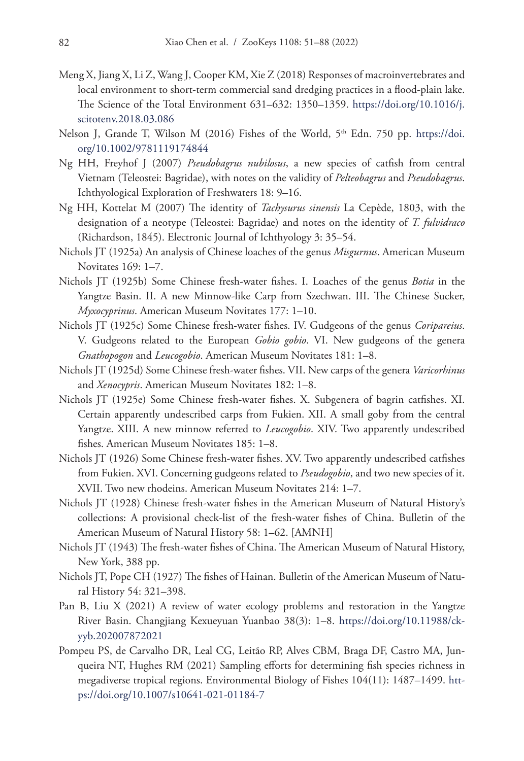- Meng X, Jiang X, Li Z, Wang J, Cooper KM, Xie Z (2018) Responses of macroinvertebrates and local environment to short-term commercial sand dredging practices in a flood-plain lake. The Science of the Total Environment 631–632: 1350–1359. [https://doi.org/10.1016/j.](https://doi.org/10.1016/j.scitotenv.2018.03.086) [scitotenv.2018.03.086](https://doi.org/10.1016/j.scitotenv.2018.03.086)
- Nelson J, Grande T, Wilson M (2016) Fishes of the World, 5<sup>th</sup> Edn. 750 pp. [https://doi.](https://doi.org/10.1002/9781119174844) [org/10.1002/9781119174844](https://doi.org/10.1002/9781119174844)
- Ng HH, Freyhof J (2007) *Pseudobagrus nubilosus*, a new species of catfish from central Vietnam (Teleostei: Bagridae), with notes on the validity of *Pelteobagrus* and *Pseudobagrus*. Ichthyological Exploration of Freshwaters 18: 9–16.
- Ng HH, Kottelat M (2007) The identity of *Tachysurus sinensis* La Cepède, 1803, with the designation of a neotype (Teleostei: Bagridae) and notes on the identity of *T. fulvidraco* (Richardson, 1845). Electronic Journal of Ichthyology 3: 35–54.
- Nichols JT (1925a) An analysis of Chinese loaches of the genus *Misgurnus*. American Museum Novitates 169: 1–7.
- Nichols JT (1925b) Some Chinese fresh-water fishes. I. Loaches of the genus *Botia* in the Yangtze Basin. II. A new Minnow-like Carp from Szechwan. III. The Chinese Sucker, *Myxocyprinus*. American Museum Novitates 177: 1–10.
- Nichols JT (1925c) Some Chinese fresh-water fishes. IV. Gudgeons of the genus *Coripareius*. V. Gudgeons related to the European *Gobio gobio*. VI. New gudgeons of the genera *Gnathopogon* and *Leucogobio*. American Museum Novitates 181: 1–8.
- Nichols JT (1925d) Some Chinese fresh-water fishes. VII. New carps of the genera *Varicorhinus* and *Xenocypris*. American Museum Novitates 182: 1–8.
- Nichols JT (1925e) Some Chinese fresh-water fishes. X. Subgenera of bagrin catfishes. XI. Certain apparently undescribed carps from Fukien. XII. A small goby from the central Yangtze. XIII. A new minnow referred to *Leucogobio*. XIV. Two apparently undescribed fishes. American Museum Novitates 185: 1–8.
- Nichols JT (1926) Some Chinese fresh-water fishes. XV. Two apparently undescribed catfishes from Fukien. XVI. Concerning gudgeons related to *Pseudogobio*, and two new species of it. XVII. Two new rhodeins. American Museum Novitates 214: 1–7.
- Nichols JT (1928) Chinese fresh-water fishes in the American Museum of Natural History's collections: A provisional check-list of the fresh-water fishes of China. Bulletin of the American Museum of Natural History 58: 1–62. [AMNH]
- Nichols JT (1943) The fresh-water fishes of China. The American Museum of Natural History, New York, 388 pp.
- Nichols JT, Pope CH (1927) The fishes of Hainan. Bulletin of the American Museum of Natural History 54: 321–398.
- Pan B, Liu X (2021) A review of water ecology problems and restoration in the Yangtze River Basin. Changjiang Kexueyuan Yuanbao 38(3): 1–8. [https://doi.org/10.11988/ck](https://doi.org/10.11988/ckyyb.202007872021)[yyb.202007872021](https://doi.org/10.11988/ckyyb.202007872021)
- Pompeu PS, de Carvalho DR, Leal CG, Leitão RP, Alves CBM, Braga DF, Castro MA, Junqueira NT, Hughes RM (2021) Sampling efforts for determining fish species richness in megadiverse tropical regions. Environmental Biology of Fishes 104(11): 1487–1499. [htt](https://doi.org/10.1007/s10641-021-01184-7)[ps://doi.org/10.1007/s10641-021-01184-7](https://doi.org/10.1007/s10641-021-01184-7)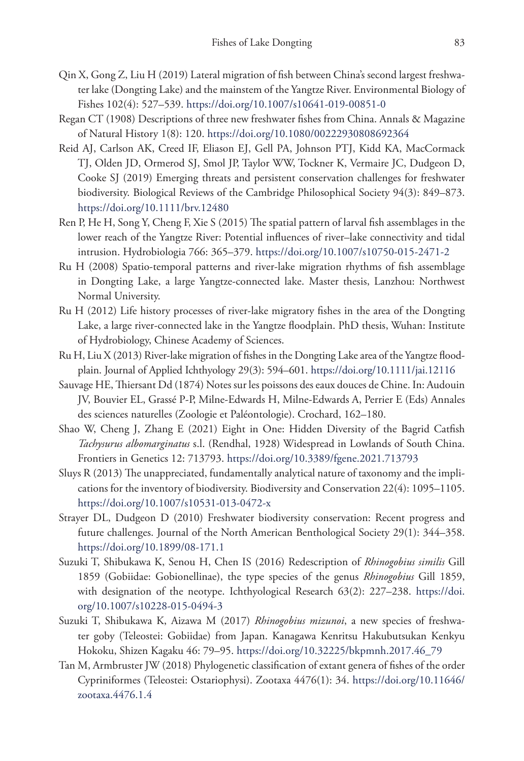- Qin X, Gong Z, Liu H (2019) Lateral migration of fish between China's second largest freshwater lake (Dongting Lake) and the mainstem of the Yangtze River. Environmental Biology of Fishes 102(4): 527–539. <https://doi.org/10.1007/s10641-019-00851-0>
- Regan CT (1908) Descriptions of three new freshwater fishes from China. Annals & Magazine of Natural History 1(8): 120.<https://doi.org/10.1080/00222930808692364>
- Reid AJ, Carlson AK, Creed IF, Eliason EJ, Gell PA, Johnson PTJ, Kidd KA, MacCormack TJ, Olden JD, Ormerod SJ, Smol JP, Taylor WW, Tockner K, Vermaire JC, Dudgeon D, Cooke SJ (2019) Emerging threats and persistent conservation challenges for freshwater biodiversity. Biological Reviews of the Cambridge Philosophical Society 94(3): 849–873. <https://doi.org/10.1111/brv.12480>
- Ren P, He H, Song Y, Cheng F, Xie S (2015) The spatial pattern of larval fish assemblages in the lower reach of the Yangtze River: Potential influences of river–lake connectivity and tidal intrusion. Hydrobiologia 766: 365–379.<https://doi.org/10.1007/s10750-015-2471-2>
- Ru H (2008) Spatio-temporal patterns and river-lake migration rhythms of fish assemblage in Dongting Lake, a large Yangtze-connected lake. Master thesis, Lanzhou: Northwest Normal University.
- Ru H (2012) Life history processes of river-lake migratory fishes in the area of the Dongting Lake, a large river-connected lake in the Yangtze floodplain. PhD thesis, Wuhan: Institute of Hydrobiology, Chinese Academy of Sciences.
- Ru H, Liu X (2013) River-lake migration of fishes in the Dongting Lake area of the Yangtze floodplain. Journal of Applied Ichthyology 29(3): 594–601. <https://doi.org/10.1111/jai.12116>
- Sauvage HE, Thiersant Dd (1874) Notes sur les poissons des eaux douces de Chine. In: Audouin JV, Bouvier EL, Grassé P-P, Milne-Edwards H, Milne-Edwards A, Perrier E (Eds) Annales des sciences naturelles (Zoologie et Paléontologie). Crochard, 162–180.
- Shao W, Cheng J, Zhang E (2021) Eight in One: Hidden Diversity of the Bagrid Catfish *Tachysurus albomarginatus* s.l. (Rendhal, 1928) Widespread in Lowlands of South China. Frontiers in Genetics 12: 713793. <https://doi.org/10.3389/fgene.2021.713793>
- Sluys R (2013) The unappreciated, fundamentally analytical nature of taxonomy and the implications for the inventory of biodiversity. Biodiversity and Conservation 22(4): 1095–1105. <https://doi.org/10.1007/s10531-013-0472-x>
- Strayer DL, Dudgeon D (2010) Freshwater biodiversity conservation: Recent progress and future challenges. Journal of the North American Benthological Society 29(1): 344–358. <https://doi.org/10.1899/08-171.1>
- Suzuki T, Shibukawa K, Senou H, Chen IS (2016) Redescription of *Rhinogobius similis* Gill 1859 (Gobiidae: Gobionellinae), the type species of the genus *Rhinogobius* Gill 1859, with designation of the neotype. Ichthyological Research 63(2): 227–238. [https://doi.](https://doi.org/10.1007/s10228-015-0494-3) [org/10.1007/s10228-015-0494-3](https://doi.org/10.1007/s10228-015-0494-3)
- Suzuki T, Shibukawa K, Aizawa M (2017) *Rhinogobius mizunoi*, a new species of freshwater goby (Teleostei: Gobiidae) from Japan. Kanagawa Kenritsu Hakubutsukan Kenkyu Hokoku, Shizen Kagaku 46: 79–95. [https://doi.org/10.32225/bkpmnh.2017.46\\_79](https://doi.org/10.32225/bkpmnh.2017.46_79)
- Tan M, Armbruster JW (2018) Phylogenetic classification of extant genera of fishes of the order Cypriniformes (Teleostei: Ostariophysi). Zootaxa 4476(1): 34. [https://doi.org/10.11646/](https://doi.org/10.11646/zootaxa.4476.1.4) [zootaxa.4476.1.4](https://doi.org/10.11646/zootaxa.4476.1.4)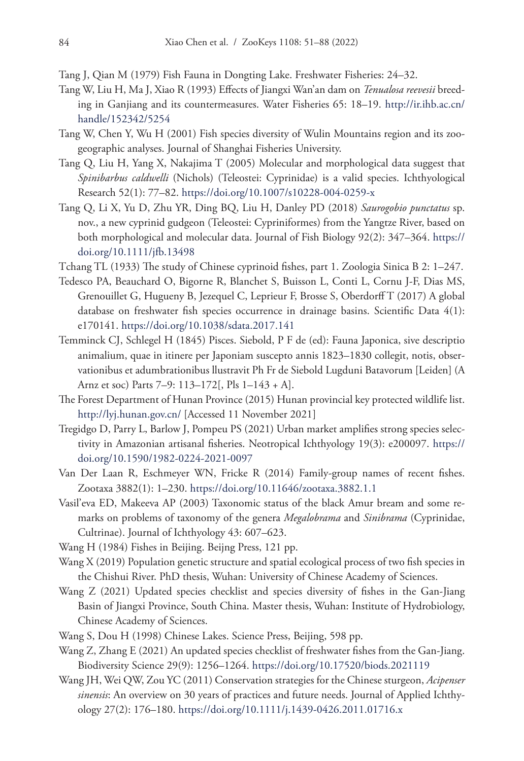- Tang J, Qian M (1979) Fish Fauna in Dongting Lake. Freshwater Fisheries: 24–32.
- Tang W, Liu H, Ma J, Xiao R (1993) Effects of Jiangxi Wan'an dam on *Tenualosa reevesii* breeding in Ganjiang and its countermeasures. Water Fisheries 65: 18–19. [http://ir.ihb.ac.cn/](http://ir.ihb.ac.cn/handle/152342/5254) [handle/152342/5254](http://ir.ihb.ac.cn/handle/152342/5254)
- Tang W, Chen Y, Wu H (2001) Fish species diversity of Wulin Mountains region and its zoogeographic analyses. Journal of Shanghai Fisheries University.
- Tang Q, Liu H, Yang X, Nakajima T (2005) Molecular and morphological data suggest that *Spinibarbus caldwelli* (Nichols) (Teleostei: Cyprinidae) is a valid species. Ichthyological Research 52(1): 77–82.<https://doi.org/10.1007/s10228-004-0259-x>
- Tang Q, Li X, Yu D, Zhu YR, Ding BQ, Liu H, Danley PD (2018) *Saurogobio punctatus* sp. nov., a new cyprinid gudgeon (Teleostei: Cypriniformes) from the Yangtze River, based on both morphological and molecular data. Journal of Fish Biology 92(2): 347–364. [https://](https://doi.org/10.1111/jfb.13498) [doi.org/10.1111/jfb.13498](https://doi.org/10.1111/jfb.13498)
- Tchang TL (1933) The study of Chinese cyprinoid fishes, part 1. Zoologia Sinica B 2: 1–247.
- Tedesco PA, Beauchard O, Bigorne R, Blanchet S, Buisson L, Conti L, Cornu J-F, Dias MS, Grenouillet G, Hugueny B, Jezequel C, Leprieur F, Brosse S, Oberdorff T (2017) A global database on freshwater fish species occurrence in drainage basins. Scientific Data 4(1): e170141.<https://doi.org/10.1038/sdata.2017.141>
- Temminck CJ, Schlegel H (1845) Pisces. Siebold, P F de (ed): Fauna Japonica, sive descriptio animalium, quae in itinere per Japoniam suscepto annis 1823–1830 collegit, notis, observationibus et adumbrationibus llustravit Ph Fr de Siebold Lugduni Batavorum [Leiden] (A Arnz et soc) Parts 7–9: 113–172[, Pls 1–143 + A].
- The Forest Department of Hunan Province (2015) Hunan provincial key protected wildlife list. <http://lyj.hunan.gov.cn/>[Accessed 11 November 2021]
- Tregidgo D, Parry L, Barlow J, Pompeu PS (2021) Urban market amplifies strong species selectivity in Amazonian artisanal fisheries. Neotropical Ichthyology 19(3): e200097. [https://](https://doi.org/10.1590/1982-0224-2021-0097) [doi.org/10.1590/1982-0224-2021-0097](https://doi.org/10.1590/1982-0224-2021-0097)
- Van Der Laan R, Eschmeyer WN, Fricke R (2014) Family-group names of recent fishes. Zootaxa 3882(1): 1–230. <https://doi.org/10.11646/zootaxa.3882.1.1>
- Vasil'eva ED, Makeeva AP (2003) Taxonomic status of the black Amur bream and some remarks on problems of taxonomy of the genera *Megalobrama* and *Sinibrama* (Cyprinidae, Cultrinae). Journal of Ichthyology 43: 607–623.
- Wang H (1984) Fishes in Beijing. Beijng Press, 121 pp.
- Wang X (2019) Population genetic structure and spatial ecological process of two fish species in the Chishui River. PhD thesis, Wuhan: University of Chinese Academy of Sciences.
- Wang Z (2021) Updated species checklist and species diversity of fishes in the Gan-Jiang Basin of Jiangxi Province, South China. Master thesis, Wuhan: Institute of Hydrobiology, Chinese Academy of Sciences.
- Wang S, Dou H (1998) Chinese Lakes. Science Press, Beijing, 598 pp.
- Wang Z, Zhang E (2021) An updated species checklist of freshwater fishes from the Gan-Jiang. Biodiversity Science 29(9): 1256–1264.<https://doi.org/10.17520/biods.2021119>
- Wang JH, Wei QW, Zou YC (2011) Conservation strategies for the Chinese sturgeon, *Acipenser sinensis*: An overview on 30 years of practices and future needs. Journal of Applied Ichthyology 27(2): 176–180.<https://doi.org/10.1111/j.1439-0426.2011.01716.x>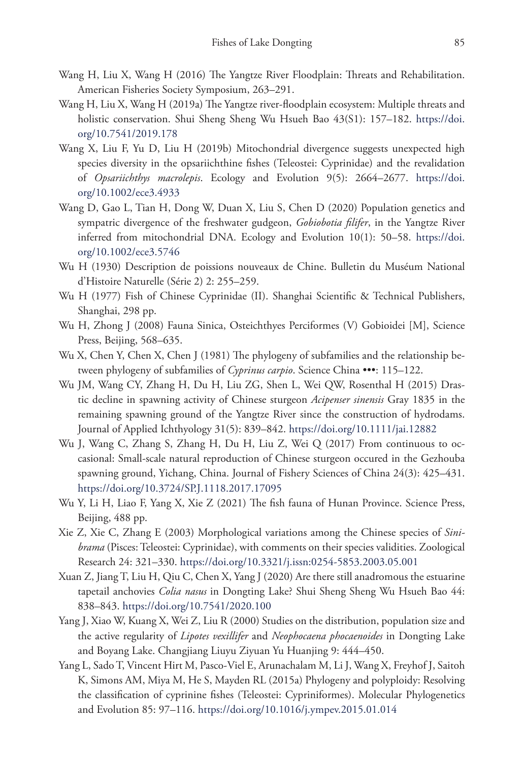- Wang H, Liu X, Wang H (2016) The Yangtze River Floodplain: Threats and Rehabilitation. American Fisheries Society Symposium, 263–291.
- Wang H, Liu X, Wang H (2019a) The Yangtze river-floodplain ecosystem: Multiple threats and holistic conservation. Shui Sheng Sheng Wu Hsueh Bao 43(S1): 157–182. [https://doi.](https://doi.org/10.7541/2019.178) [org/10.7541/2019.178](https://doi.org/10.7541/2019.178)
- Wang X, Liu F, Yu D, Liu H (2019b) Mitochondrial divergence suggests unexpected high species diversity in the opsariichthine fishes (Teleostei: Cyprinidae) and the revalidation of *Opsariichthys macrolepis*. Ecology and Evolution 9(5): 2664–2677. [https://doi.](https://doi.org/10.1002/ece3.4933) [org/10.1002/ece3.4933](https://doi.org/10.1002/ece3.4933)
- Wang D, Gao L, Tian H, Dong W, Duan X, Liu S, Chen D (2020) Population genetics and sympatric divergence of the freshwater gudgeon, *Gobiobotia filifer*, in the Yangtze River inferred from mitochondrial DNA. Ecology and Evolution 10(1): 50–58. [https://doi.](https://doi.org/10.1002/ece3.5746) [org/10.1002/ece3.5746](https://doi.org/10.1002/ece3.5746)
- Wu H (1930) Description de poissions nouveaux de Chine. Bulletin du Muséum National d'Histoire Naturelle (Série 2) 2: 255–259.
- Wu H (1977) Fish of Chinese Cyprinidae (II). Shanghai Scientific & Technical Publishers, Shanghai, 298 pp.
- Wu H, Zhong J (2008) Fauna Sinica, Osteichthyes Perciformes (V) Gobioidei [M], Science Press, Beijing, 568–635.
- Wu X, Chen Y, Chen X, Chen J (1981) The phylogeny of subfamilies and the relationship between phylogeny of subfamilies of *Cyprinus carpio*. Science China •••: 115–122.
- Wu JM, Wang CY, Zhang H, Du H, Liu ZG, Shen L, Wei QW, Rosenthal H (2015) Drastic decline in spawning activity of Chinese sturgeon *Acipenser sinensis* Gray 1835 in the remaining spawning ground of the Yangtze River since the construction of hydrodams. Journal of Applied Ichthyology 31(5): 839–842.<https://doi.org/10.1111/jai.12882>
- Wu J, Wang C, Zhang S, Zhang H, Du H, Liu Z, Wei Q (2017) From continuous to occasional: Small-scale natural reproduction of Chinese sturgeon occured in the Gezhouba spawning ground, Yichang, China. Journal of Fishery Sciences of China 24(3): 425–431. <https://doi.org/10.3724/SP.J.1118.2017.17095>
- Wu Y, Li H, Liao F, Yang X, Xie Z (2021) The fish fauna of Hunan Province. Science Press, Beijing, 488 pp.
- Xie Z, Xie C, Zhang E (2003) Morphological variations among the Chinese species of *Sinibrama* (Pisces: Teleostei: Cyprinidae), with comments on their species validities. Zoological Research 24: 321–330. <https://doi.org/10.3321/j.issn:0254-5853.2003.05.001>
- Xuan Z, Jiang T, Liu H, Qiu C, Chen X, Yang J (2020) Are there still anadromous the estuarine tapetail anchovies *Colia nasus* in Dongting Lake? Shui Sheng Sheng Wu Hsueh Bao 44: 838–843.<https://doi.org/10.7541/2020.100>
- Yang J, Xiao W, Kuang X, Wei Z, Liu R (2000) Studies on the distribution, population size and the active regularity of *Lipotes vexillifer* and *Neophocaena phocaenoides* in Dongting Lake and Boyang Lake. Changjiang Liuyu Ziyuan Yu Huanjing 9: 444–450.
- Yang L, Sado T, Vincent Hirt M, Pasco-Viel E, Arunachalam M, Li J, Wang X, Freyhof J, Saitoh K, Simons AM, Miya M, He S, Mayden RL (2015a) Phylogeny and polyploidy: Resolving the classification of cyprinine fishes (Teleostei: Cypriniformes). Molecular Phylogenetics and Evolution 85: 97–116. <https://doi.org/10.1016/j.ympev.2015.01.014>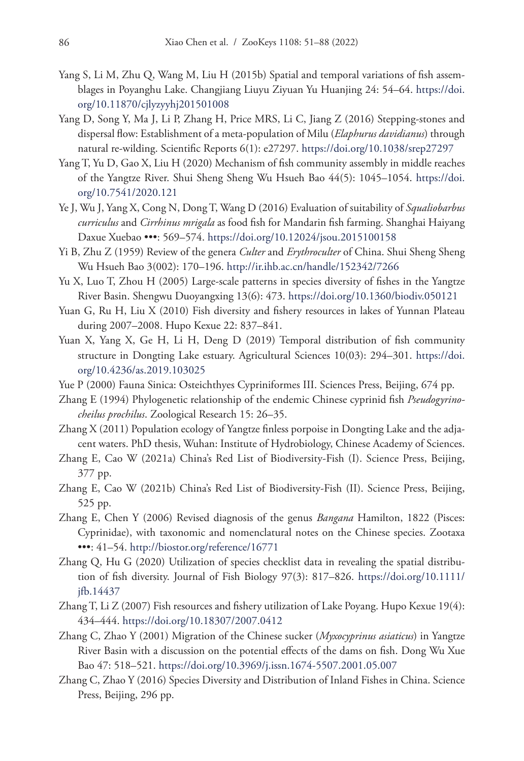- Yang S, Li M, Zhu Q, Wang M, Liu H (2015b) Spatial and temporal variations of fish assemblages in Poyanghu Lake. Changjiang Liuyu Ziyuan Yu Huanjing 24: 54–64. [https://doi.](https://doi.org/10.11870/cjlyzyyhj201501008) [org/10.11870/cjlyzyyhj201501008](https://doi.org/10.11870/cjlyzyyhj201501008)
- Yang D, Song Y, Ma J, Li P, Zhang H, Price MRS, Li C, Jiang Z (2016) Stepping-stones and dispersal flow: Establishment of a meta-population of Milu (*Elaphurus davidianus*) through natural re-wilding. Scientific Reports 6(1): e27297.<https://doi.org/10.1038/srep27297>
- Yang T, Yu D, Gao X, Liu H (2020) Mechanism of fish community assembly in middle reaches of the Yangtze River. Shui Sheng Sheng Wu Hsueh Bao 44(5): 1045–1054. [https://doi.](https://doi.org/10.7541/2020.121) [org/10.7541/2020.121](https://doi.org/10.7541/2020.121)
- Ye J, Wu J, Yang X, Cong N, Dong T, Wang D (2016) Evaluation of suitability of *Squaliobarbus curriculus* and *Cirrhinus mrigala* as food fish for Mandarin fish farming. Shanghai Haiyang Daxue Xuebao •••: 569–574.<https://doi.org/10.12024/jsou.2015100158>
- Yi B, Zhu Z (1959) Review of the genera *Culter* and *Erythroculter* of China. Shui Sheng Sheng Wu Hsueh Bao 3(002): 170–196. <http://ir.ihb.ac.cn/handle/152342/7266>
- Yu X, Luo T, Zhou H (2005) Large-scale patterns in species diversity of fishes in the Yangtze River Basin. Shengwu Duoyangxing 13(6): 473. <https://doi.org/10.1360/biodiv.050121>
- Yuan G, Ru H, Liu X (2010) Fish diversity and fishery resources in lakes of Yunnan Plateau during 2007–2008. Hupo Kexue 22: 837–841.
- Yuan X, Yang X, Ge H, Li H, Deng D (2019) Temporal distribution of fish community structure in Dongting Lake estuary. Agricultural Sciences 10(03): 294–301. [https://doi.](https://doi.org/10.4236/as.2019.103025) [org/10.4236/as.2019.103025](https://doi.org/10.4236/as.2019.103025)
- Yue P (2000) Fauna Sinica: Osteichthyes Cypriniformes III. Sciences Press, Beijing, 674 pp.
- Zhang E (1994) Phylogenetic relationship of the endemic Chinese cyprinid fish *Pseudogyrinocheilus prochilus*. Zoological Research 15: 26–35.
- Zhang X (2011) Population ecology of Yangtze finless porpoise in Dongting Lake and the adjacent waters. PhD thesis, Wuhan: Institute of Hydrobiology, Chinese Academy of Sciences.
- Zhang E, Cao W (2021a) China's Red List of Biodiversity-Fish (I). Science Press, Beijing, 377 pp.
- Zhang E, Cao W (2021b) China's Red List of Biodiversity-Fish (II). Science Press, Beijing, 525 pp.
- Zhang E, Chen Y (2006) Revised diagnosis of the genus *Bangana* Hamilton, 1822 (Pisces: Cyprinidae), with taxonomic and nomenclatural notes on the Chinese species. Zootaxa •••: 41–54.<http://biostor.org/reference/16771>
- Zhang Q, Hu G (2020) Utilization of species checklist data in revealing the spatial distribution of fish diversity. Journal of Fish Biology 97(3): 817–826. [https://doi.org/10.1111/](https://doi.org/10.1111/jfb.14437) [jfb.14437](https://doi.org/10.1111/jfb.14437)
- Zhang T, Li Z (2007) Fish resources and fishery utilization of Lake Poyang. Hupo Kexue 19(4): 434–444.<https://doi.org/10.18307/2007.0412>
- Zhang C, Zhao Y (2001) Migration of the Chinese sucker (*Myxocyprinus asiaticus*) in Yangtze River Basin with a discussion on the potential effects of the dams on fish. Dong Wu Xue Bao 47: 518–521. <https://doi.org/10.3969/j.issn.1674-5507.2001.05.007>
- Zhang C, Zhao Y (2016) Species Diversity and Distribution of Inland Fishes in China. Science Press, Beijing, 296 pp.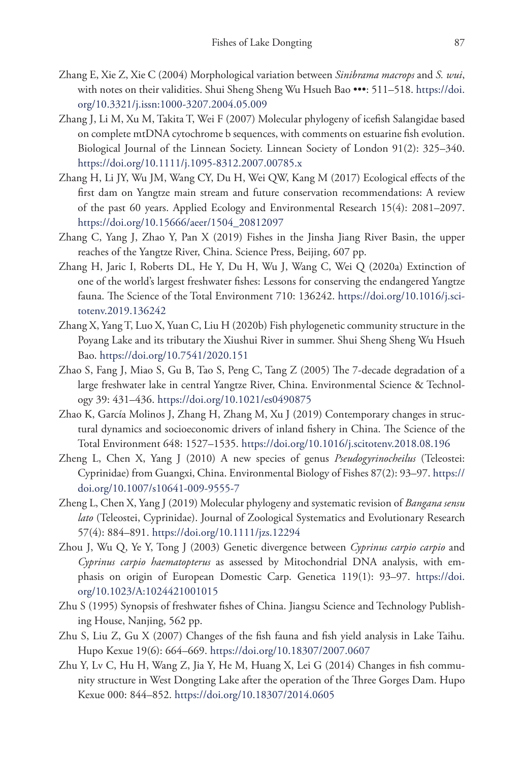- Zhang E, Xie Z, Xie C (2004) Morphological variation between *Sinibrama macrops* and *S. wui*, with notes on their validities. Shui Sheng Sheng Wu Hsueh Bao •••: 511–518. [https://doi.](https://doi.org/10.3321/j.issn:1000-3207.2004.05.009) [org/10.3321/j.issn:1000-3207.2004.05.009](https://doi.org/10.3321/j.issn:1000-3207.2004.05.009)
- Zhang J, Li M, Xu M, Takita T, Wei F (2007) Molecular phylogeny of icefish Salangidae based on complete mtDNA cytochrome b sequences, with comments on estuarine fish evolution. Biological Journal of the Linnean Society. Linnean Society of London 91(2): 325–340. <https://doi.org/10.1111/j.1095-8312.2007.00785.x>
- Zhang H, Li JY, Wu JM, Wang CY, Du H, Wei QW, Kang M (2017) Ecological effects of the first dam on Yangtze main stream and future conservation recommendations: A review of the past 60 years. Applied Ecology and Environmental Research 15(4): 2081–2097. [https://doi.org/10.15666/aeer/1504\\_20812097](https://doi.org/10.15666/aeer/1504_20812097)
- Zhang C, Yang J, Zhao Y, Pan X (2019) Fishes in the Jinsha Jiang River Basin, the upper reaches of the Yangtze River, China. Science Press, Beijing, 607 pp.
- Zhang H, Jaric I, Roberts DL, He Y, Du H, Wu J, Wang C, Wei Q (2020a) Extinction of one of the world's largest freshwater fishes: Lessons for conserving the endangered Yangtze fauna. The Science of the Total Environment 710: 136242. [https://doi.org/10.1016/j.sci](https://doi.org/10.1016/j.scitotenv.2019.136242)[totenv.2019.136242](https://doi.org/10.1016/j.scitotenv.2019.136242)
- Zhang X, Yang T, Luo X, Yuan C, Liu H (2020b) Fish phylogenetic community structure in the Poyang Lake and its tributary the Xiushui River in summer. Shui Sheng Sheng Wu Hsueh Bao.<https://doi.org/10.7541/2020.151>
- Zhao S, Fang J, Miao S, Gu B, Tao S, Peng C, Tang Z (2005) The 7-decade degradation of a large freshwater lake in central Yangtze River, China. Environmental Science & Technology 39: 431–436. <https://doi.org/10.1021/es0490875>
- Zhao K, García Molinos J, Zhang H, Zhang M, Xu J (2019) Contemporary changes in structural dynamics and socioeconomic drivers of inland fishery in China. The Science of the Total Environment 648: 1527–1535. <https://doi.org/10.1016/j.scitotenv.2018.08.196>
- Zheng L, Chen X, Yang J (2010) A new species of genus *Pseudogyrinocheilus* (Teleostei: Cyprinidae) from Guangxi, China. Environmental Biology of Fishes 87(2): 93–97. [https://](https://doi.org/10.1007/s10641-009-9555-7) [doi.org/10.1007/s10641-009-9555-7](https://doi.org/10.1007/s10641-009-9555-7)
- Zheng L, Chen X, Yang J (2019) Molecular phylogeny and systematic revision of *Bangana sensu lato* (Teleostei, Cyprinidae). Journal of Zoological Systematics and Evolutionary Research 57(4): 884–891. <https://doi.org/10.1111/jzs.12294>
- Zhou J, Wu Q, Ye Y, Tong J (2003) Genetic divergence between *Cyprinus carpio carpio* and *Cyprinus carpio haematopterus* as assessed by Mitochondrial DNA analysis, with emphasis on origin of European Domestic Carp. Genetica 119(1): 93–97. [https://doi.](https://doi.org/10.1023/A:1024421001015) [org/10.1023/A:1024421001015](https://doi.org/10.1023/A:1024421001015)
- Zhu S (1995) Synopsis of freshwater fishes of China. Jiangsu Science and Technology Publishing House, Nanjing, 562 pp.
- Zhu S, Liu Z, Gu X (2007) Changes of the fish fauna and fish yield analysis in Lake Taihu. Hupo Kexue 19(6): 664–669. <https://doi.org/10.18307/2007.0607>
- Zhu Y, Lv C, Hu H, Wang Z, Jia Y, He M, Huang X, Lei G (2014) Changes in fish community structure in West Dongting Lake after the operation of the Three Gorges Dam. Hupo Kexue 000: 844–852. <https://doi.org/10.18307/2014.0605>